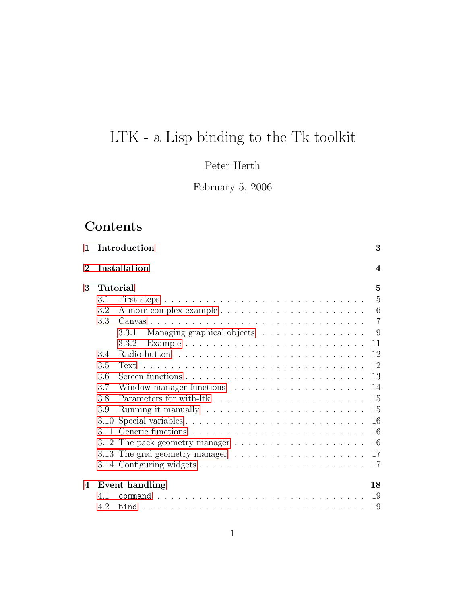# LTK - a Lisp binding to the Tk toolkit

# Peter Herth

February 5, 2006

# Contents

| $\mathbf{1}$   |                 | Introduction                                                               | 3                |
|----------------|-----------------|----------------------------------------------------------------------------|------------------|
| $\overline{2}$ |                 | Installation                                                               | $\boldsymbol{4}$ |
| 3              | <b>Tutorial</b> |                                                                            | $\overline{5}$   |
|                | 3.1             |                                                                            | 5                |
|                | 3.2             |                                                                            | 6                |
|                | 3.3             |                                                                            | $\overline{7}$   |
|                |                 | Managing graphical objects<br>3.3.1                                        | 9                |
|                |                 | 3.3.2                                                                      | 11               |
|                | 3.4             |                                                                            | 12               |
|                | 3.5             |                                                                            | 12               |
|                | 3.6             |                                                                            | 13               |
|                | 3.7             |                                                                            | 14               |
|                | 3.8             |                                                                            | 15               |
|                | 3.9             |                                                                            | 15               |
|                | 3.10            |                                                                            | 16               |
|                |                 |                                                                            | 16               |
|                |                 | 3.12 The pack geometry manager $\dots \dots \dots \dots \dots \dots \dots$ | 16               |
|                |                 | 3.13 The grid geometry manager $\dots \dots \dots \dots \dots \dots \dots$ | 17               |
|                |                 |                                                                            | 17               |
| 4              |                 | Event handling                                                             | 18               |
|                | 4.1             |                                                                            | 19               |
|                | 4.2             |                                                                            | 19               |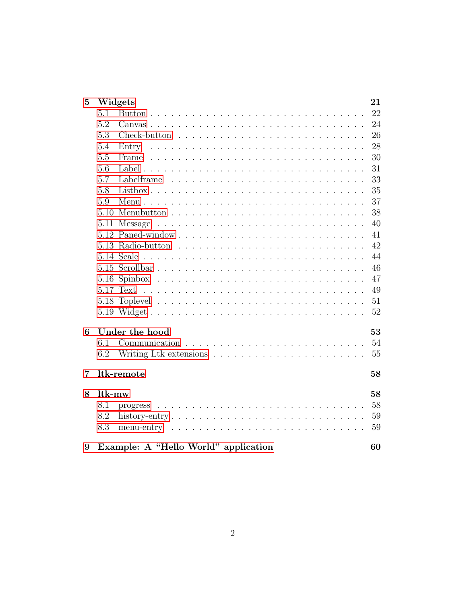| $\overline{5}$ | Widgets                                                                                      | 21 |
|----------------|----------------------------------------------------------------------------------------------|----|
|                | 5.1                                                                                          | 22 |
|                | 5.2                                                                                          | 24 |
|                | 5.3                                                                                          | 26 |
|                | 5.4                                                                                          | 28 |
|                | 5.5                                                                                          | 30 |
|                | 5.6                                                                                          | 31 |
|                | 5.7                                                                                          | 33 |
|                | 5.8                                                                                          | 35 |
|                | 5.9                                                                                          | 37 |
|                |                                                                                              | 38 |
|                | 5.11                                                                                         | 40 |
|                |                                                                                              | 41 |
|                |                                                                                              | 42 |
|                |                                                                                              | 44 |
|                |                                                                                              | 46 |
|                |                                                                                              | 47 |
|                |                                                                                              | 49 |
|                |                                                                                              | 51 |
|                |                                                                                              | 52 |
| 6              | Under the hood                                                                               | 53 |
|                | 6.1                                                                                          | 54 |
|                | 6.2                                                                                          | 55 |
|                |                                                                                              |    |
| 7              | ltk-remote                                                                                   | 58 |
| 8              | ltk-mw                                                                                       | 58 |
|                | 8.1                                                                                          | 58 |
|                | 8.2<br>history-entry $\ldots \ldots \ldots \ldots \ldots \ldots \ldots \ldots \ldots \ldots$ | 59 |
|                | 8.3<br>menu-entry $\ldots \ldots \ldots \ldots \ldots \ldots \ldots \ldots \ldots \ldots$    | 59 |
| 9              | Example: A "Hello World" application                                                         | 60 |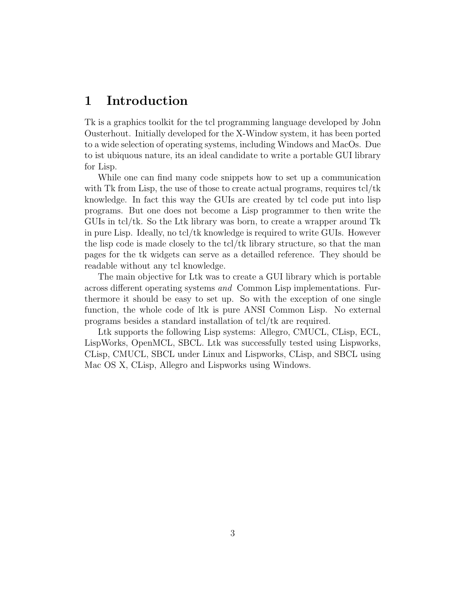# <span id="page-2-0"></span>1 Introduction

Tk is a graphics toolkit for the tcl programming language developed by John Ousterhout. Initially developed for the X-Window system, it has been ported to a wide selection of operating systems, including Windows and MacOs. Due to ist ubiquous nature, its an ideal candidate to write a portable GUI library for Lisp.

While one can find many code snippets how to set up a communication with Tk from Lisp, the use of those to create actual programs, requires tcl/tk knowledge. In fact this way the GUIs are created by tcl code put into lisp programs. But one does not become a Lisp programmer to then write the GUIs in tcl/tk. So the Ltk library was born, to create a wrapper around  $Tk$ in pure Lisp. Ideally, no tcl/tk knowledge is required to write GUIs. However the lisp code is made closely to the tcl/tk library structure, so that the man pages for the tk widgets can serve as a detailled reference. They should be readable without any tcl knowledge.

The main objective for Ltk was to create a GUI library which is portable across different operating systems and Common Lisp implementations. Furthermore it should be easy to set up. So with the exception of one single function, the whole code of ltk is pure ANSI Common Lisp. No external programs besides a standard installation of tcl/tk are required.

Ltk supports the following Lisp systems: Allegro, CMUCL, CLisp, ECL, LispWorks, OpenMCL, SBCL. Ltk was successfully tested using Lispworks, CLisp, CMUCL, SBCL under Linux and Lispworks, CLisp, and SBCL using Mac OS X, CLisp, Allegro and Lispworks using Windows.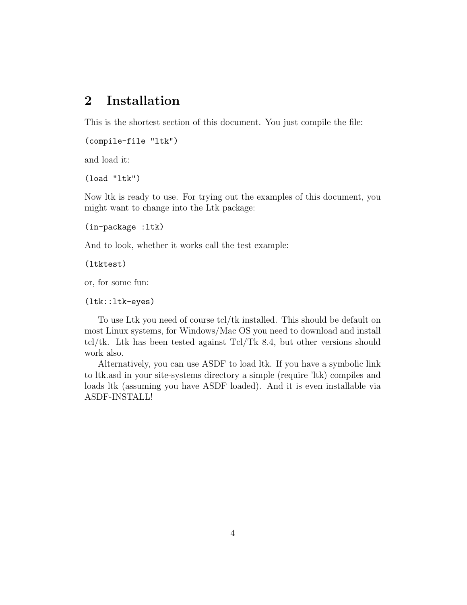# <span id="page-3-1"></span><span id="page-3-0"></span>2 Installation

This is the shortest section of this document. You just compile the file:

```
(compile-file "ltk")
```
and load it:

(load "ltk")

Now ltk is ready to use. For trying out the examples of this document, you might want to change into the Ltk package:

```
(in-package :ltk)
```
And to look, whether it works call the test example:

(ltktest)

or, for some fun:

(ltk::ltk-eyes)

To use Ltk you need of course tcl/tk installed. This should be default on most Linux systems, for Windows/Mac OS you need to download and install tcl/tk. Ltk has been tested against Tcl/Tk 8.4, but other versions should work also.

Alternatively, you can use ASDF to load ltk. If you have a symbolic link to ltk.asd in your site-systems directory a simple (require 'ltk) compiles and loads ltk (assuming you have ASDF loaded). And it is even installable via ASDF-INSTALL!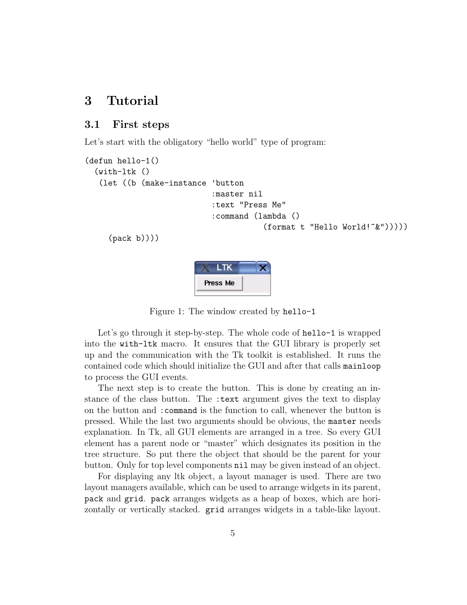# <span id="page-4-2"></span><span id="page-4-0"></span>3 Tutorial

### <span id="page-4-1"></span>3.1 First steps

Let's start with the obligatory "hello world" type of program:

```
(defun hello-1()
  (with-ltk ()
   (let ((b (make-instance 'button
                            :master nil
                            :text "Press Me"
                            :command (lambda ()
                                        (format t "Hello World!~&")))))
     (pack b))))
```

```
LTK
Press Me
```
Figure 1: The window created by hello-1

Let's go through it step-by-step. The whole code of hello-1 is wrapped into the with-ltk macro. It ensures that the GUI library is properly set up and the communication with the Tk toolkit is established. It runs the contained code which should initialize the GUI and after that calls mainloop to process the GUI events.

The next step is to create the button. This is done by creating an instance of the class button. The :text argument gives the text to display on the button and :command is the function to call, whenever the button is pressed. While the last two arguments should be obvious, the master needs explanation. In Tk, all GUI elements are arranged in a tree. So every GUI element has a parent node or "master" which designates its position in the tree structure. So put there the object that should be the parent for your button. Only for top level components nil may be given instead of an object.

For displaying any ltk object, a layout manager is used. There are two layout managers available, which can be used to arrange widgets in its parent, pack and grid. pack arranges widgets as a heap of boxes, which are horizontally or vertically stacked. grid arranges widgets in a table-like layout.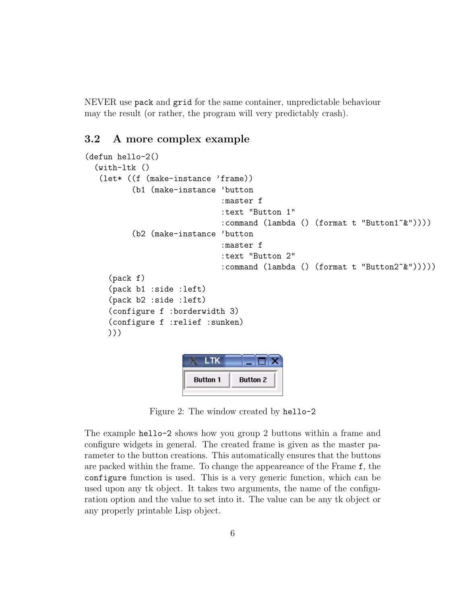<span id="page-5-1"></span>NEVER use pack and grid for the same container, unpredictable behaviour may the result (or rather, the program will very predictably crash).

## <span id="page-5-0"></span>3.2 A more complex example

```
(defun hello-2()
  (\text{with-ltk} ()(let* ((f (make-instance 'frame))
          (b1 (make-instance 'button
                              :master f
                              :text "Button 1"
                              :command (lambda () (format t "Button1~&"))))
          (b2 (make-instance 'button
                              :master f
                              :text "Button 2"
                              :command (lambda () (format t "Button2~&")))))
     (pack f)
     (pack b1 :side :left)
     (pack b2 :side :left)
     (configure f :borderwidth 3)
     (configure f :relief :sunken)
     )))
                          ITK
```

| <b>Button 1</b> | <b>Button 2</b> |
|-----------------|-----------------|

Figure 2: The window created by hello-2

The example hello-2 shows how you group 2 buttons within a frame and configure widgets in general. The created frame is given as the master parameter to the button creations. This automatically ensures that the buttons are packed within the frame. To change the appeareance of the Frame f, the configure function is used. This is a very generic function, which can be used upon any tk object. It takes two arguments, the name of the configuration option and the value to set into it. The value can be any tk object or any properly printable Lisp object.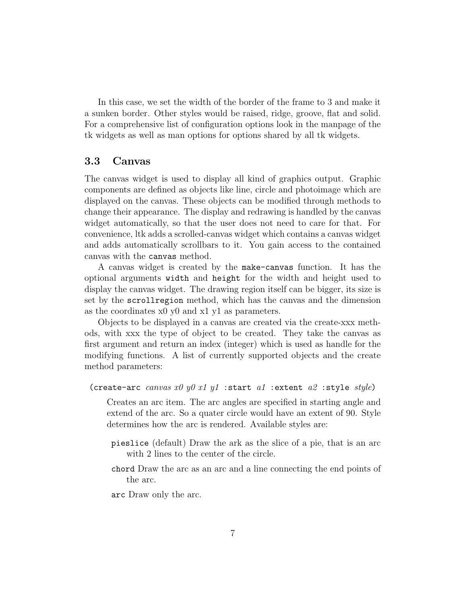In this case, we set the width of the border of the frame to 3 and make it a sunken border. Other styles would be raised, ridge, groove, flat and solid. For a comprehensive list of configuration options look in the manpage of the tk widgets as well as man options for options shared by all tk widgets.

### <span id="page-6-0"></span>3.3 Canvas

The canvas widget is used to display all kind of graphics output. Graphic components are defined as objects like line, circle and photoimage which are displayed on the canvas. These objects can be modified through methods to change their appearance. The display and redrawing is handled by the canvas widget automatically, so that the user does not need to care for that. For convenience, ltk adds a scrolled-canvas widget which contains a canvas widget and adds automatically scrollbars to it. You gain access to the contained canvas with the canvas method.

A canvas widget is created by the make-canvas function. It has the optional arguments width and height for the width and height used to display the canvas widget. The drawing region itself can be bigger, its size is set by the scrollregion method, which has the canvas and the dimension as the coordinates x0 y0 and x1 y1 as parameters.

Objects to be displayed in a canvas are created via the create-xxx methods, with xxx the type of object to be created. They take the canvas as first argument and return an index (integer) which is used as handle for the modifying functions. A list of currently supported objects and the create method parameters:

```
(create-arc canvas x0 y0 x1 y1 : start a1 : extent a2 : style style)
```
Creates an arc item. The arc angles are specified in starting angle and extend of the arc. So a quater circle would have an extent of 90. Style determines how the arc is rendered. Available styles are:

- pieslice (default) Draw the ark as the slice of a pie, that is an arc with 2 lines to the center of the circle.
- chord Draw the arc as an arc and a line connecting the end points of the arc.

arc Draw only the arc.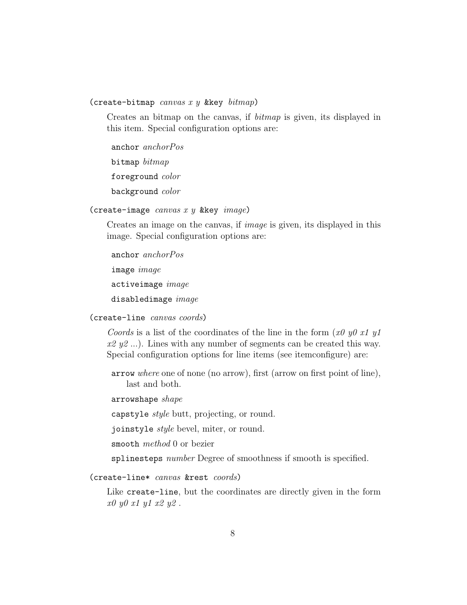<span id="page-7-0"></span>(create-bitmap canvas x y & key  $\text{bitmap}$ )

Creates an bitmap on the canvas, if bitmap is given, its displayed in this item. Special configuration options are:

anchor anchorPos

bitmap bitmap

foreground color

background color

(create-image  $canvas x y$  &key  $image)$ 

Creates an image on the canvas, if image is given, its displayed in this image. Special configuration options are:

anchor anchorPos image image activeimage image disabledimage image

(create-line canvas coords)

Coords is a list of the coordinates of the line in the form (x0 y0 x1 y1  $x2 y2$ ...). Lines with any number of segments can be created this way. Special configuration options for line items (see itemconfigure) are:

arrow where one of none (no arrow), first (arrow on first point of line), last and both.

arrowshape shape

capstyle *style* butt, projecting, or round.

joinstyle style bevel, miter, or round.

smooth method 0 or bezier

splinesteps *number* Degree of smoothness if smooth is specified.

(create-line\* canvas &rest coords)

Like create-line, but the coordinates are directly given in the form x0 y0 x1 y1 x2 y2 .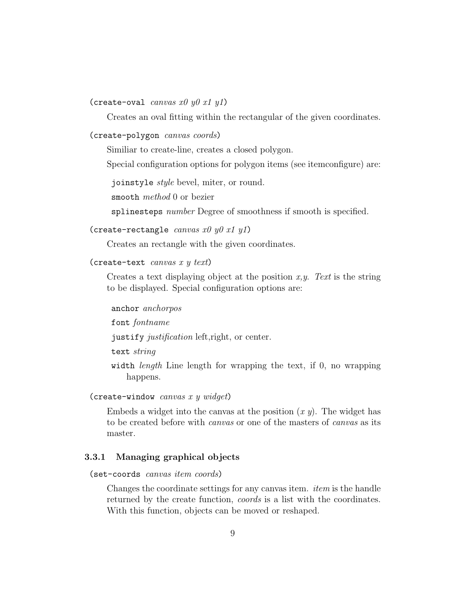### <span id="page-8-1"></span>(create-oval *canvas x0 y0 x1 y1*)

Creates an oval fitting within the rectangular of the given coordinates.

### (create-polygon canvas coords)

Similiar to create-line, creates a closed polygon.

Special configuration options for polygon items (see itemconfigure) are:

joinstyle style bevel, miter, or round.

smooth method 0 or bezier

splinesteps *number* Degree of smoothness if smooth is specified.

### (create-rectangle canvas  $x0 y0 x1 y1$ )

Creates an rectangle with the given coordinates.

### (create-text *canvas x y text*)

Creates a text displaying object at the position  $x, y$ . Text is the string to be displayed. Special configuration options are:

### anchor anchorpos

font fontname

justify justification left,right, or center.

text string

width *length* Line length for wrapping the text, if 0, no wrapping happens.

(create-window canvas x y widget)

Embeds a widget into the canvas at the position  $(x, y)$ . The widget has to be created before with canvas or one of the masters of canvas as its master.

### <span id="page-8-0"></span>3.3.1 Managing graphical objects

(set-coords canvas item coords)

Changes the coordinate settings for any canvas item. item is the handle returned by the create function, *coords* is a list with the coordinates. With this function, objects can be moved or reshaped.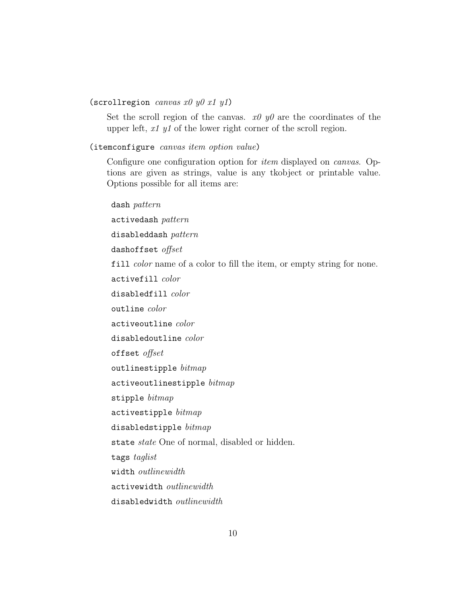### <span id="page-9-0"></span>(scrollregion *canvas x0 y0 x1 y1*)

Set the scroll region of the canvas.  $x\theta y\theta$  are the coordinates of the upper left, x1 y1 of the lower right corner of the scroll region.

### (itemconfigure canvas item option value)

Configure one configuration option for item displayed on canvas. Options are given as strings, value is any tkobject or printable value. Options possible for all items are:

dash pattern activedash pattern disableddash pattern dashoffset offset fill *color* name of a color to fill the item, or empty string for none. activefill color disabledfill color outline color activeoutline color disabledoutline color offset offset outlinestipple  $\textit{bitmap}$  $\texttt{activeoutlinestipple}\; \textit{bitmap}$ stipple bitmap activestipple bitmap disabledstipple  $bitmap$ state state One of normal, disabled or hidden. tags taglist width outlinewidth activewidth outlinewidth disabledwidth outlinewidth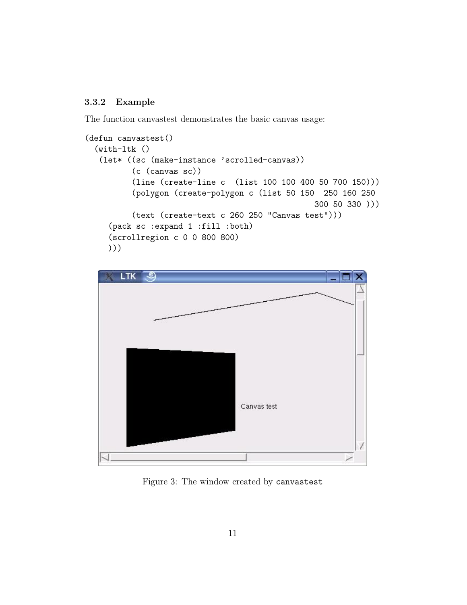### <span id="page-10-0"></span>3.3.2 Example

The function canvastest demonstrates the basic canvas usage:

```
(defun canvastest()
 (with-ltk ()
   (let* ((sc (make-instance 'scrolled-canvas))
          (c (canvas sc))
          (line (create-line c (list 100 100 400 50 700 150)))
          (polygon (create-polygon c (list 50 150 250 160 250
                                                 300 50 330 )))
          (text (create-text c 260 250 "Canvas test")))
     (pack sc :expand 1 :fill :both)
     (scrollregion c 0 0 800 800)
    )))
```


Figure 3: The window created by canvastest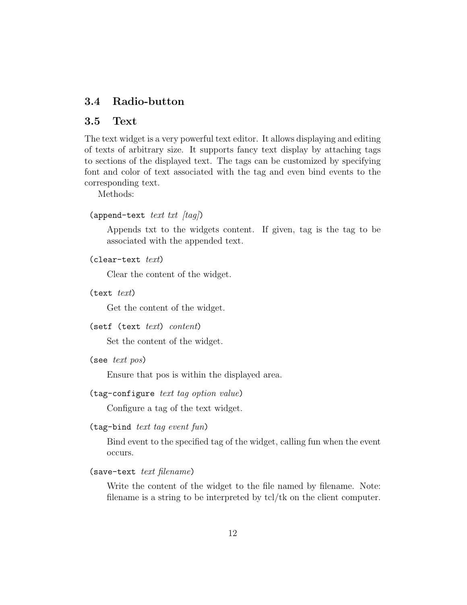## <span id="page-11-0"></span>3.4 Radio-button

### <span id="page-11-1"></span>3.5 Text

The text widget is a very powerful text editor. It allows displaying and editing of texts of arbitrary size. It supports fancy text display by attaching tags to sections of the displayed text. The tags can be customized by specifying font and color of text associated with the tag and even bind events to the corresponding text.

Methods:

```
(append-text text txt (taq))
```
Appends txt to the widgets content. If given, tag is the tag to be associated with the appended text.

 $(clear-text$   $text$ 

Clear the content of the widget.

 $(text text)$ 

Get the content of the widget.

 $(\text{setf } (text \text{text } text) \text{ content})$ 

Set the content of the widget.

(see text pos)

Ensure that pos is within the displayed area.

(tag-configure text tag option value)

Configure a tag of the text widget.

 $(tag-bind text tag event fun)$ 

Bind event to the specified tag of the widget, calling fun when the event occurs.

 $(s$ ave-text text filename)

Write the content of the widget to the file named by filename. Note: filename is a string to be interpreted by tcl/tk on the client computer.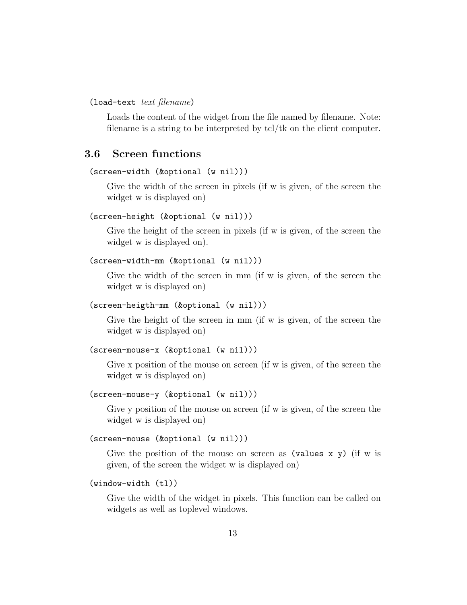<span id="page-12-1"></span>(load-text text filename)

Loads the content of the widget from the file named by filename. Note: filename is a string to be interpreted by tcl/tk on the client computer.

### <span id="page-12-0"></span>3.6 Screen functions

### (screen-width (&optional (w nil)))

Give the width of the screen in pixels (if w is given, of the screen the widget w is displayed on)

### (screen-height (&optional (w nil)))

Give the height of the screen in pixels (if w is given, of the screen the widget w is displayed on).

```
(screen-width-mm (&optional (w nil)))
```
Give the width of the screen in mm (if w is given, of the screen the widget w is displayed on)

```
(screen-heigth-mm (&optional (w nil)))
```
Give the height of the screen in mm (if w is given, of the screen the widget w is displayed on)

```
(screen-mouse-x (&optional (w nil)))
```
Give x position of the mouse on screen (if w is given, of the screen the widget w is displayed on)

### (screen-mouse-y (&optional (w nil)))

Give y position of the mouse on screen (if w is given, of the screen the widget w is displayed on)

### (screen-mouse (&optional (w nil)))

Give the position of the mouse on screen as (values x y) (if w is given, of the screen the widget w is displayed on)

#### (window-width (tl))

Give the width of the widget in pixels. This function can be called on widgets as well as toplevel windows.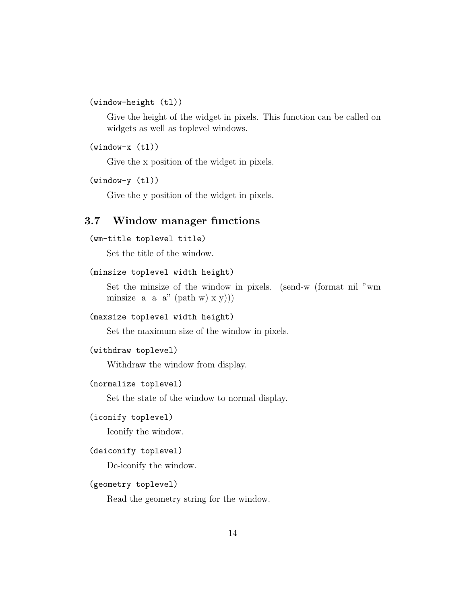<span id="page-13-1"></span>(window-height (tl))

Give the height of the widget in pixels. This function can be called on widgets as well as toplevel windows.

(window-x (tl))

Give the x position of the widget in pixels.

(window-y (tl))

Give the y position of the widget in pixels.

## <span id="page-13-0"></span>3.7 Window manager functions

```
(wm-title toplevel title)
```
Set the title of the window.

```
(minsize toplevel width height)
```
Set the minsize of the window in pixels. (send-w (format nil "wm minsize a a  $a''$  (path w)  $x y)$ )

```
(maxsize toplevel width height)
```
Set the maximum size of the window in pixels.

```
(withdraw toplevel)
```
Withdraw the window from display.

### (normalize toplevel)

Set the state of the window to normal display.

```
(iconify toplevel)
```
Iconify the window.

### (deiconify toplevel)

De-iconify the window.

### (geometry toplevel)

Read the geometry string for the window.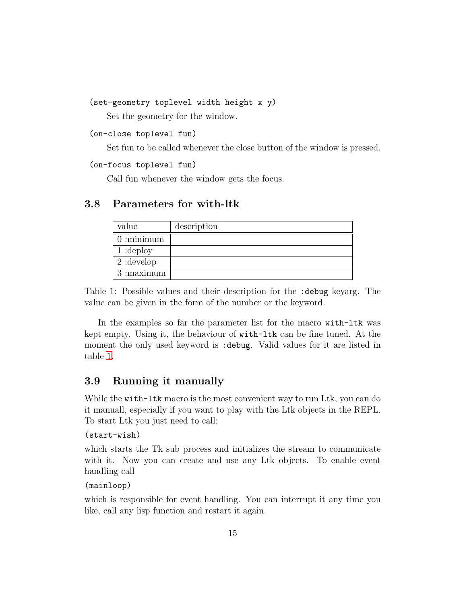```
(set-geometry toplevel width height x y)
```
Set the geometry for the window.

```
(on-close toplevel fun)
```
Set fun to be called whenever the close button of the window is pressed.

### (on-focus toplevel fun)

Call fun whenever the window gets the focus.

## <span id="page-14-0"></span>3.8 Parameters for with-ltk

| value        | description |
|--------------|-------------|
| $0:$ minimum |             |
| 1:depth      |             |
| $2:$ develop |             |
| $3:$ maximum |             |

<span id="page-14-2"></span>Table 1: Possible values and their description for the :debug keyarg. The value can be given in the form of the number or the keyword.

In the examples so far the parameter list for the macro with-ltk was kept empty. Using it, the behaviour of with-ltk can be fine tuned. At the moment the only used keyword is :debug. Valid values for it are listed in table [1.](#page-14-2)

## <span id="page-14-1"></span>3.9 Running it manually

While the with-ltk macro is the most convenient way to run Ltk, you can do it manuall, especially if you want to play with the Ltk objects in the REPL. To start Ltk you just need to call:

```
(start-wish)
```
which starts the Tk sub process and initializes the stream to communicate with it. Now you can create and use any Ltk objects. To enable event handling call

```
(mainloop)
```
which is responsible for event handling. You can interrupt it any time you like, call any lisp function and restart it again.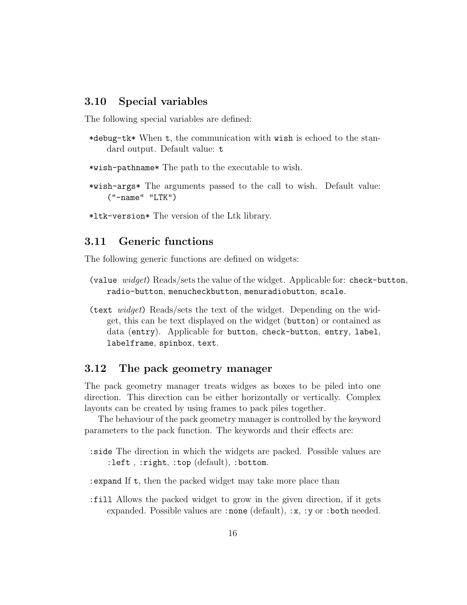### <span id="page-15-3"></span><span id="page-15-0"></span>3.10 Special variables

The following special variables are defined:

\*debug-tk\* When t, the communication with wish is echoed to the standard output. Default value: t

\*wish-pathname\* The path to the executable to wish.

- \*wish-args\* The arguments passed to the call to wish. Default value: ("-name" "LTK")
- \*ltk-version\* The version of the Ltk library.

### <span id="page-15-1"></span>3.11 Generic functions

The following generic functions are defined on widgets:

- (value  $widget$ ) Reads/sets the value of the widget. Applicable for: check-button, radio-button, menucheckbutton, menuradiobutton, scale.
- (text widget) Reads/sets the text of the widget. Depending on the widget, this can be text displayed on the widget (button) or contained as data (entry). Applicable for button, check-button, entry, label, labelframe, spinbox, text.

### <span id="page-15-2"></span>3.12 The pack geometry manager

The pack geometry manager treats widges as boxes to be piled into one direction. This direction can be either horizontally or vertically. Complex layouts can be created by using frames to pack piles together.

The behaviour of the pack geometry manager is controlled by the keyword parameters to the pack function. The keywords and their effects are:

- :side The direction in which the widgets are packed. Possible values are :left , :right, :top (default), :bottom.
- :expand If t, then the packed widget may take more place than
- :fill Allows the packed widget to grow in the given direction, if it gets expanded. Possible values are :none (default), :x, :y or :both needed.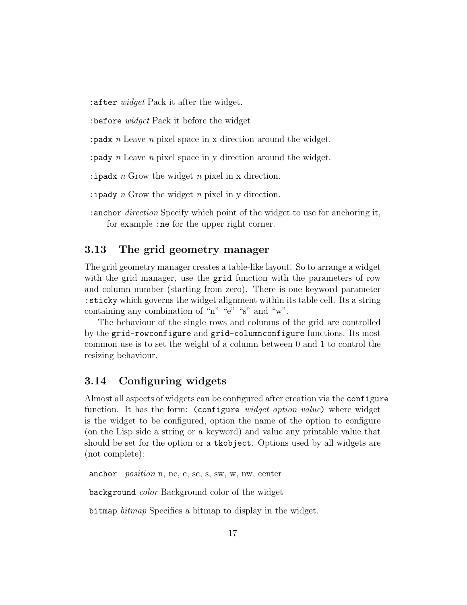<span id="page-16-2"></span>:after widget Pack it after the widget.

: before *widget* Pack it before the widget

:padx n Leave n pixel space in x direction around the widget.

: pady n Leave n pixel space in y direction around the widget.

: ipadx  $n$  Grow the widget  $n$  pixel in x direction.

: ipady n Grow the widget n pixel in y direction.

:anchor direction Specify which point of the widget to use for anchoring it, for example :ne for the upper right corner.

## <span id="page-16-0"></span>3.13 The grid geometry manager

The grid geometry manager creates a table-like layout. So to arrange a widget with the grid manager, use the grid function with the parameters of row and column number (starting from zero). There is one keyword parameter :sticky which governs the widget alignment within its table cell. Its a string containing any combination of "n" "e" "s" and "w".

The behaviour of the single rows and columns of the grid are controlled by the grid-rowconfigure and grid-columnconfigure functions. Its most common use is to set the weight of a column between 0 and 1 to control the resizing behaviour.

### <span id="page-16-1"></span>3.14 Configuring widgets

Almost all aspects of widgets can be configured after creation via the configure function. It has the form: (configure *widget option value*) where widget is the widget to be configured, option the name of the option to configure (on the Lisp side a string or a keyword) and value any printable value that should be set for the option or a tkobject. Options used by all widgets are (not complete):

anchor position n, ne, e, se, s, sw, w, nw, center

background color Background color of the widget

bitmap bitmap Specifies a bitmap to display in the widget.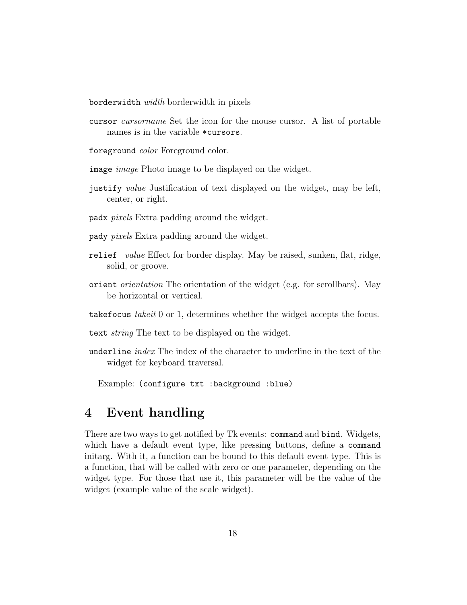<span id="page-17-1"></span>borderwidth width borderwidth in pixels

cursor cursorname Set the icon for the mouse cursor. A list of portable names is in the variable \*cursors.

foreground color Foreground color.

image *image* Photo image to be displayed on the widget.

- justify value Justification of text displayed on the widget, may be left, center, or right.
- padx pixels Extra padding around the widget.
- pady pixels Extra padding around the widget.
- relief value Effect for border display. May be raised, sunken, flat, ridge, solid, or groove.
- orient orientation The orientation of the widget (e.g. for scrollbars). May be horizontal or vertical.
- takefocus takeit 0 or 1, determines whether the widget accepts the focus.

text *string* The text to be displayed on the widget.

underline *index* The index of the character to underline in the text of the widget for keyboard traversal.

Example: (configure txt :background :blue)

# <span id="page-17-0"></span>4 Event handling

There are two ways to get notified by Tk events: command and bind. Widgets, which have a default event type, like pressing buttons, define a command initarg. With it, a function can be bound to this default event type. This is a function, that will be called with zero or one parameter, depending on the widget type. For those that use it, this parameter will be the value of the widget (example value of the scale widget).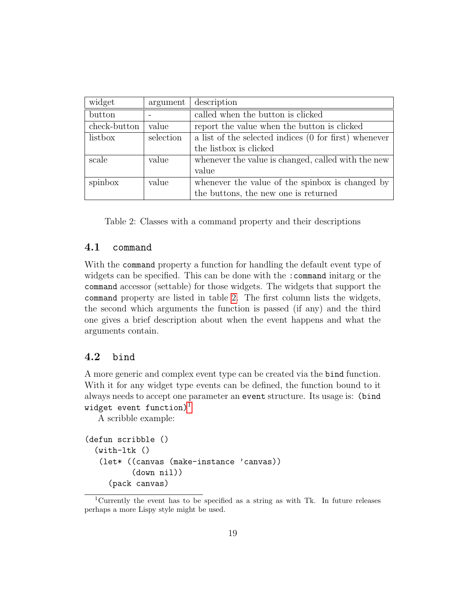<span id="page-18-4"></span>

| widget       | argument  | description                                           |
|--------------|-----------|-------------------------------------------------------|
| button       |           | called when the button is clicked                     |
| check-button | value     | report the value when the button is clicked           |
| listbox      | selection | a list of the selected indices (0 for first) whenever |
|              |           | the listbox is clicked                                |
| scale        | value     | whenever the value is changed, called with the new    |
|              |           | value                                                 |
| spinbox      | value     | whenever the value of the spinbox is changed by       |
|              |           | the buttons, the new one is returned                  |

<span id="page-18-2"></span>Table 2: Classes with a command property and their descriptions

### <span id="page-18-0"></span>4.1 command

With the command property a function for handling the default event type of widgets can be specified. This can be done with the : command initarg or the command accessor (settable) for those widgets. The widgets that support the command property are listed in table [2.](#page-18-2) The first column lists the widgets, the second which arguments the function is passed (if any) and the third one gives a brief description about when the event happens and what the arguments contain.

### <span id="page-18-1"></span>4.2 bind

A more generic and complex event type can be created via the bind function. With it for any widget type events can be defined, the function bound to it always needs to accept one parameter an event structure. Its usage is: (bind widget event function)<sup>[1](#page-18-3)</sup>

A scribble example:

```
(defun scribble ()
  (with-ltk ()
   (let* ((canvas (make-instance 'canvas))
          (down nil))
     (pack canvas)
```
<span id="page-18-3"></span><sup>1</sup>Currently the event has to be specified as a string as with Tk. In future releases perhaps a more Lispy style might be used.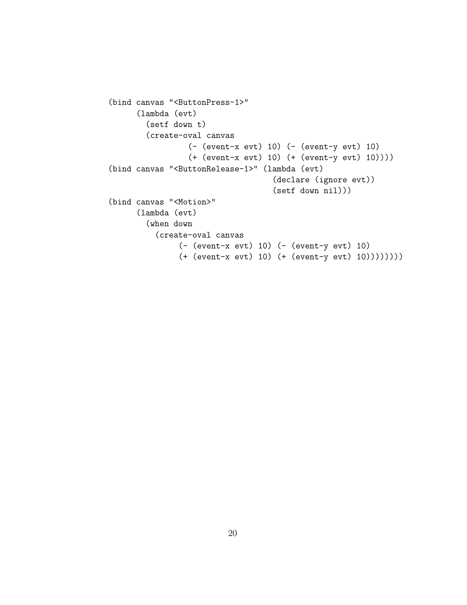```
(bind canvas "<ButtonPress-1>"
      (lambda (evt)
        (setf down t)
        (create-oval canvas
                 (- (event-x evt) 10) (- (event-y evt) 10)
                 (+ (event-x evt) 10) (+ (event-y evt) 10))))
(bind canvas "<ButtonRelease-1>" (lambda (evt)
                                   (declare (ignore evt))
                                   (setf down nil)))
(bind canvas "<Motion>"
     (lambda (evt)
        (when down
          (create-oval canvas
               (- (event-x evt) 10) (- (event-y evt) 10)
               (+ (event-x evt) 10) (+ (event-y evt) 10))))))))
```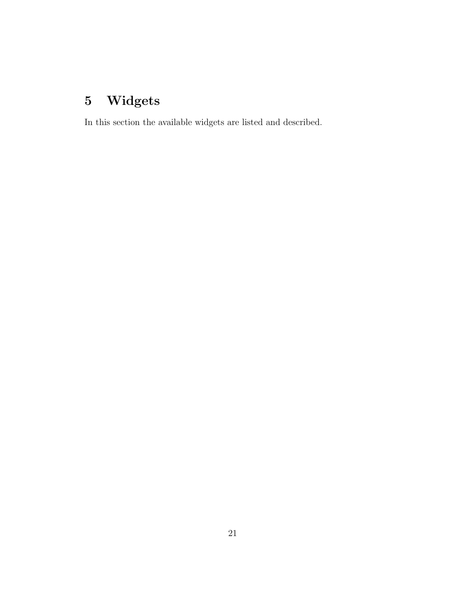# <span id="page-20-1"></span><span id="page-20-0"></span>5 Widgets

In this section the available widgets are listed and described.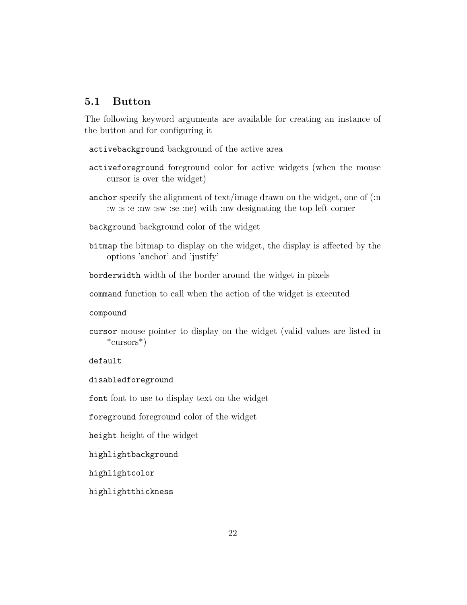## <span id="page-21-1"></span><span id="page-21-0"></span>5.1 Button

The following keyword arguments are available for creating an instance of the button and for configuring it

activebackground background of the active area

- activeforeground foreground color for active widgets (when the mouse cursor is over the widget)
- anchor specify the alignment of text/image drawn on the widget, one of (:n :w :s :e :nw :sw :se :ne) with :nw designating the top left corner

background background color of the widget

bitmap the bitmap to display on the widget, the display is affected by the options 'anchor' and 'justify'

borderwidth width of the border around the widget in pixels

command function to call when the action of the widget is executed

compound

cursor mouse pointer to display on the widget (valid values are listed in \*cursors\*)

default

disabledforeground

font font to use to display text on the widget

foreground foreground color of the widget

height height of the widget

highlightbackground

highlightcolor

highlightthickness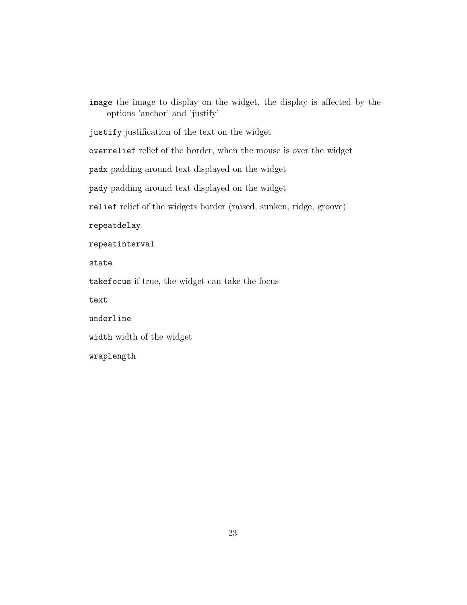<span id="page-22-0"></span>image the image to display on the widget, the display is affected by the options 'anchor' and 'justify' justify justification of the text on the widget overrelief relief of the border, when the mouse is over the widget padx padding around text displayed on the widget pady padding around text displayed on the widget relief relief of the widgets border (raised, sunken, ridge, groove) repeatdelay repeatinterval state takefocus if true, the widget can take the focus text underline width width of the widget wraplength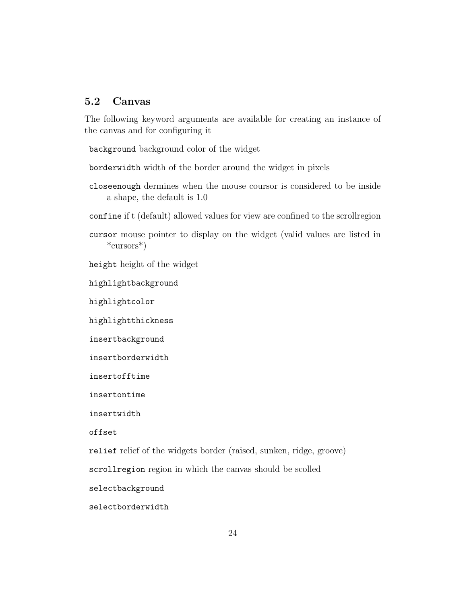### <span id="page-23-1"></span><span id="page-23-0"></span>5.2 Canvas

The following keyword arguments are available for creating an instance of the canvas and for configuring it

background background color of the widget

borderwidth width of the border around the widget in pixels

- closeenough dermines when the mouse coursor is considered to be inside a shape, the default is 1.0
- confine if t (default) allowed values for view are confined to the scrollregion
- cursor mouse pointer to display on the widget (valid values are listed in \*cursors\*)

height height of the widget

highlightbackground

highlightcolor

highlightthickness

insertbackground

```
insertborderwidth
```
insertofftime

insertontime

insertwidth

offset

relief relief of the widgets border (raised, sunken, ridge, groove)

scrollregion region in which the canvas should be scolled

selectbackground

selectborderwidth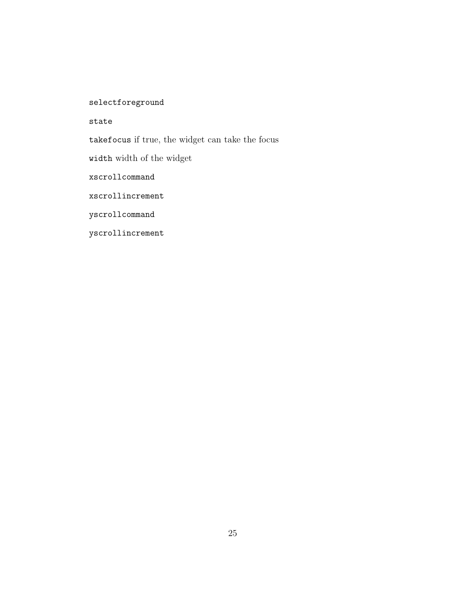<span id="page-24-0"></span>selectforeground

state

takefocus if true, the widget can take the focus

width width of the widget

xscrollcommand

xscrollincrement

yscrollcommand

yscrollincrement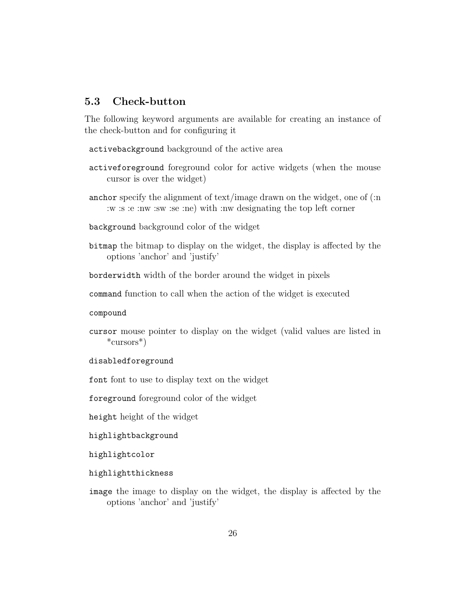## <span id="page-25-1"></span><span id="page-25-0"></span>5.3 Check-button

The following keyword arguments are available for creating an instance of the check-button and for configuring it

activebackground background of the active area

- activeforeground foreground color for active widgets (when the mouse cursor is over the widget)
- anchor specify the alignment of text/image drawn on the widget, one of (:n :w :s :e :nw :sw :se :ne) with :nw designating the top left corner
- background background color of the widget
- bitmap the bitmap to display on the widget, the display is affected by the options 'anchor' and 'justify'

borderwidth width of the border around the widget in pixels

command function to call when the action of the widget is executed

compound

- cursor mouse pointer to display on the widget (valid values are listed in \*cursors\*)
- disabledforeground

font font to use to display text on the widget

foreground foreground color of the widget

height height of the widget

highlightbackground

highlightcolor

highlightthickness

image the image to display on the widget, the display is affected by the options 'anchor' and 'justify'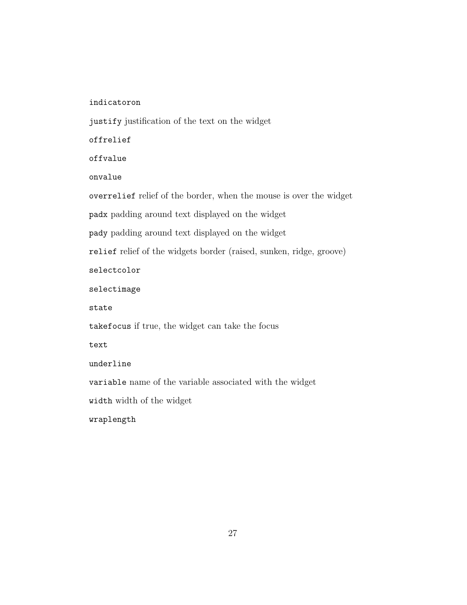<span id="page-26-0"></span>indicatoron

justify justification of the text on the widget

offrelief

offvalue

onvalue

overrelief relief of the border, when the mouse is over the widget

padx padding around text displayed on the widget

pady padding around text displayed on the widget

relief relief of the widgets border (raised, sunken, ridge, groove)

selectcolor

selectimage

state

takefocus if true, the widget can take the focus

text

underline

variable name of the variable associated with the widget

width width of the widget

wraplength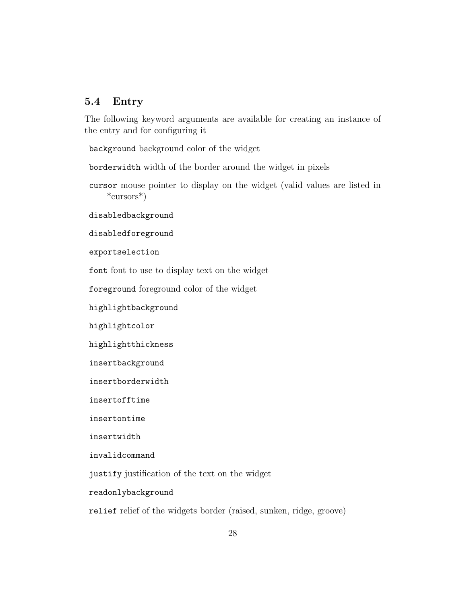## <span id="page-27-1"></span><span id="page-27-0"></span>5.4 Entry

The following keyword arguments are available for creating an instance of the entry and for configuring it

background background color of the widget

borderwidth width of the border around the widget in pixels

cursor mouse pointer to display on the widget (valid values are listed in \*cursors\*)

disabledbackground

disabledforeground

exportselection

font font to use to display text on the widget

foreground foreground color of the widget

highlightbackground

highlightcolor

highlightthickness

insertbackground

insertborderwidth

insertofftime

insertontime

insertwidth

invalidcommand

justify justification of the text on the widget

readonlybackground

relief relief of the widgets border (raised, sunken, ridge, groove)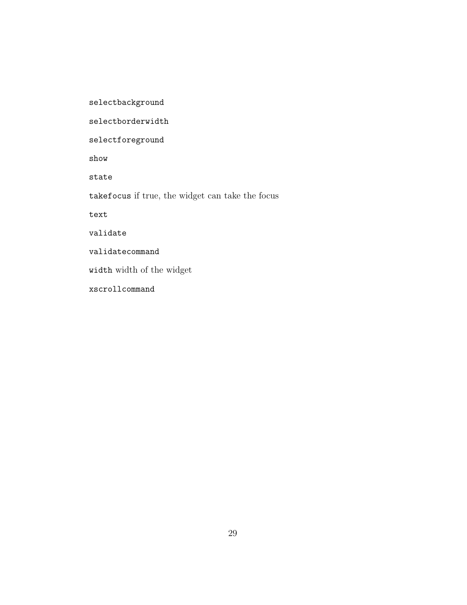<span id="page-28-0"></span>selectbackground

selectborderwidth

selectforeground

show

state

takefocus if true, the widget can take the focus

text

validate

validatecommand

width width of the widget

xscrollcommand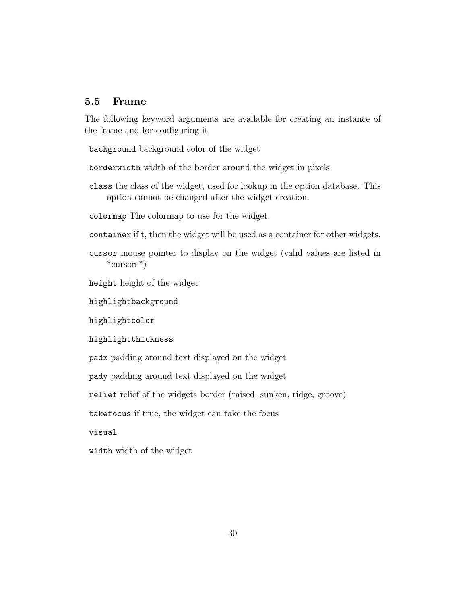### <span id="page-29-1"></span><span id="page-29-0"></span>5.5 Frame

The following keyword arguments are available for creating an instance of the frame and for configuring it

background background color of the widget

borderwidth width of the border around the widget in pixels

class the class of the widget, used for lookup in the option database. This option cannot be changed after the widget creation.

colormap The colormap to use for the widget.

container if t, then the widget will be used as a container for other widgets.

cursor mouse pointer to display on the widget (valid values are listed in \*cursors\*)

height height of the widget

highlightbackground

highlightcolor

highlightthickness

padx padding around text displayed on the widget

pady padding around text displayed on the widget

relief relief of the widgets border (raised, sunken, ridge, groove)

takefocus if true, the widget can take the focus

visual

width width of the widget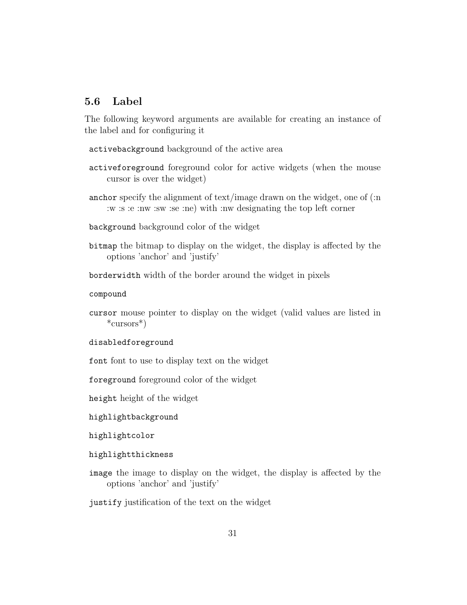## <span id="page-30-1"></span><span id="page-30-0"></span>5.6 Label

The following keyword arguments are available for creating an instance of the label and for configuring it

activebackground background of the active area

- activeforeground foreground color for active widgets (when the mouse cursor is over the widget)
- anchor specify the alignment of text/image drawn on the widget, one of (:n :w :s :e :nw :sw :se :ne) with :nw designating the top left corner

background background color of the widget

bitmap the bitmap to display on the widget, the display is affected by the options 'anchor' and 'justify'

borderwidth width of the border around the widget in pixels

compound

cursor mouse pointer to display on the widget (valid values are listed in \*cursors\*)

disabledforeground

font font to use to display text on the widget

foreground foreground color of the widget

height height of the widget

highlightbackground

highlightcolor

- highlightthickness
- image the image to display on the widget, the display is affected by the options 'anchor' and 'justify'

justify justification of the text on the widget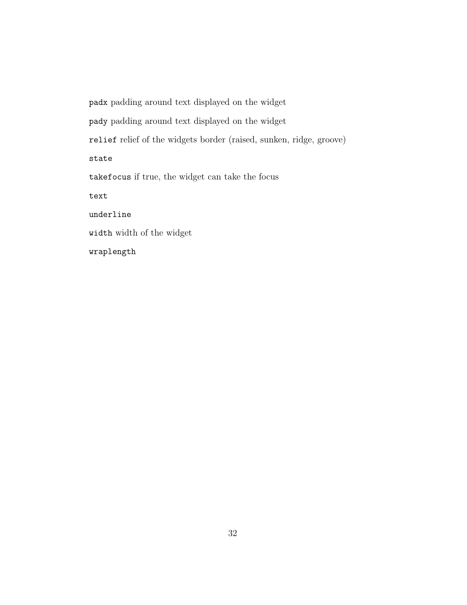<span id="page-31-0"></span>padx padding around text displayed on the widget pady padding around text displayed on the widget relief relief of the widgets border (raised, sunken, ridge, groove) state takefocus if true, the widget can take the focus text underline width width of the widget wraplength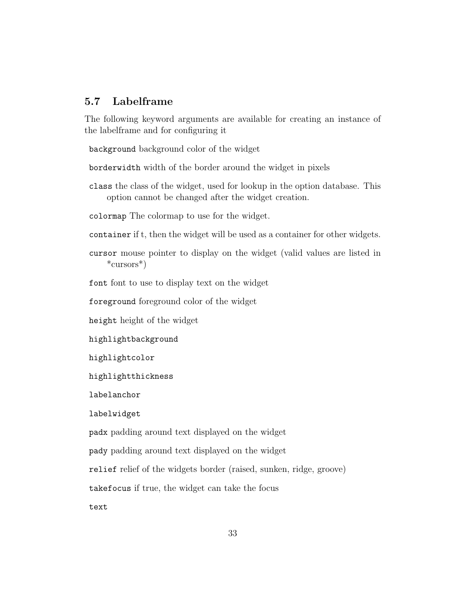## <span id="page-32-1"></span><span id="page-32-0"></span>5.7 Labelframe

The following keyword arguments are available for creating an instance of the labelframe and for configuring it

background background color of the widget

borderwidth width of the border around the widget in pixels

class the class of the widget, used for lookup in the option database. This option cannot be changed after the widget creation.

colormap The colormap to use for the widget.

container if t, then the widget will be used as a container for other widgets.

cursor mouse pointer to display on the widget (valid values are listed in \*cursors\*)

font font to use to display text on the widget

foreground foreground color of the widget

height height of the widget

highlightbackground

highlightcolor

highlightthickness

labelanchor

labelwidget

padx padding around text displayed on the widget

pady padding around text displayed on the widget

relief relief of the widgets border (raised, sunken, ridge, groove)

takefocus if true, the widget can take the focus

text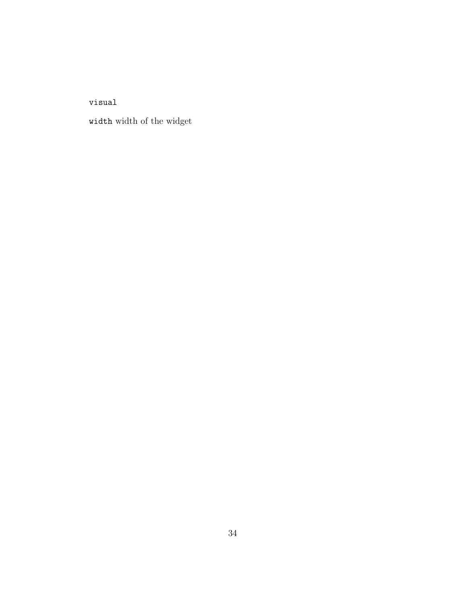<span id="page-33-0"></span>visual

width width of the widget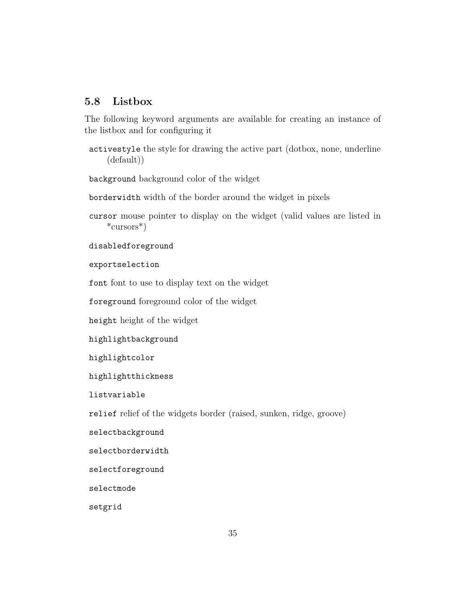## <span id="page-34-1"></span><span id="page-34-0"></span>5.8 Listbox

The following keyword arguments are available for creating an instance of the listbox and for configuring it

activestyle the style for drawing the active part (dotbox, none, underline (default))

background background color of the widget

borderwidth width of the border around the widget in pixels

cursor mouse pointer to display on the widget (valid values are listed in \*cursors\*)

disabledforeground

exportselection

font font to use to display text on the widget

foreground foreground color of the widget

height height of the widget

highlightbackground

highlightcolor

highlightthickness

listvariable

relief relief of the widgets border (raised, sunken, ridge, groove)

selectbackground

selectborderwidth

selectforeground

selectmode

setgrid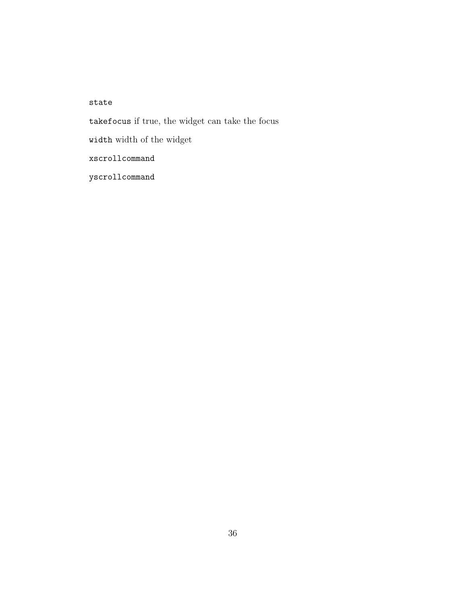<span id="page-35-0"></span>state takefocus if true, the widget can take the focus width width of the widget xscrollcommand yscrollcommand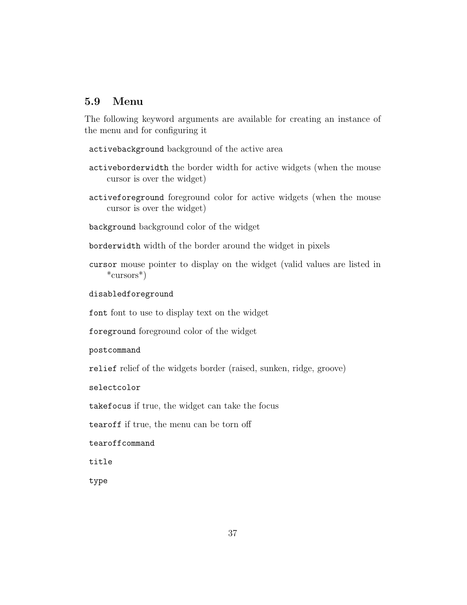## <span id="page-36-1"></span><span id="page-36-0"></span>5.9 Menu

The following keyword arguments are available for creating an instance of the menu and for configuring it

activebackground background of the active area

- activeborderwidth the border width for active widgets (when the mouse cursor is over the widget)
- activeforeground foreground color for active widgets (when the mouse cursor is over the widget)

background background color of the widget

borderwidth width of the border around the widget in pixels

cursor mouse pointer to display on the widget (valid values are listed in \*cursors\*)

disabledforeground

font font to use to display text on the widget

foreground foreground color of the widget

postcommand

relief relief of the widgets border (raised, sunken, ridge, groove)

selectcolor

takefocus if true, the widget can take the focus

tearoff if true, the menu can be torn off

tearoffcommand

title

type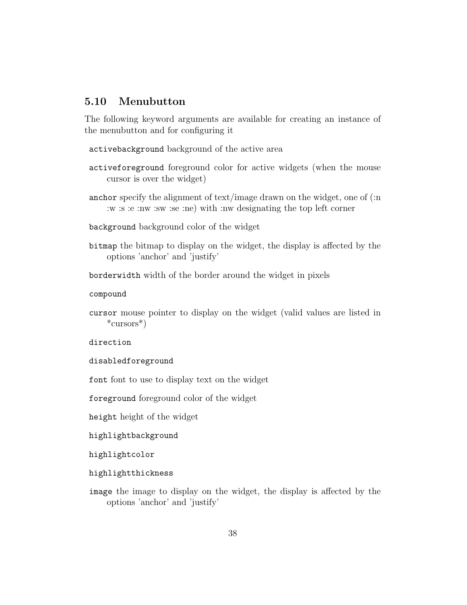## <span id="page-37-1"></span><span id="page-37-0"></span>5.10 Menubutton

The following keyword arguments are available for creating an instance of the menubutton and for configuring it

activebackground background of the active area

- activeforeground foreground color for active widgets (when the mouse cursor is over the widget)
- anchor specify the alignment of text/image drawn on the widget, one of (:n :w :s :e :nw :sw :se :ne) with :nw designating the top left corner

background background color of the widget

bitmap the bitmap to display on the widget, the display is affected by the options 'anchor' and 'justify'

borderwidth width of the border around the widget in pixels

compound

cursor mouse pointer to display on the widget (valid values are listed in \*cursors\*)

direction

disabledforeground

font font to use to display text on the widget

foreground foreground color of the widget

height height of the widget

highlightbackground

highlightcolor

highlightthickness

image the image to display on the widget, the display is affected by the options 'anchor' and 'justify'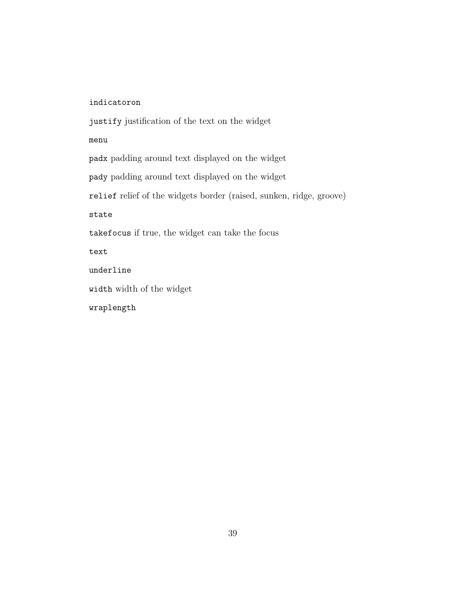### <span id="page-38-0"></span>indicatoron

justify justification of the text on the widget menu

padx padding around text displayed on the widget pady padding around text displayed on the widget relief relief of the widgets border (raised, sunken, ridge, groove) state takefocus if true, the widget can take the focus text underline

width width of the widget

wraplength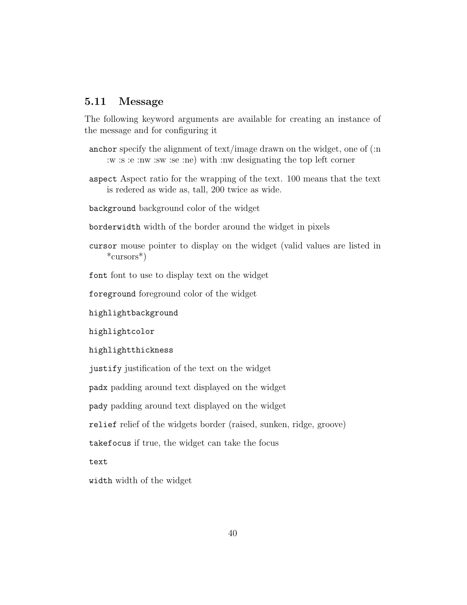### <span id="page-39-1"></span><span id="page-39-0"></span>5.11 Message

The following keyword arguments are available for creating an instance of the message and for configuring it

- anchor specify the alignment of text/image drawn on the widget, one of (:n :w :s :e :nw :sw :se :ne) with :nw designating the top left corner
- aspect Aspect ratio for the wrapping of the text. 100 means that the text is redered as wide as, tall, 200 twice as wide.
- background background color of the widget
- borderwidth width of the border around the widget in pixels
- cursor mouse pointer to display on the widget (valid values are listed in \*cursors\*)

font font to use to display text on the widget

foreground foreground color of the widget

highlightbackground

highlightcolor

highlightthickness

justify justification of the text on the widget

padx padding around text displayed on the widget

pady padding around text displayed on the widget

relief relief of the widgets border (raised, sunken, ridge, groove)

takefocus if true, the widget can take the focus

text

width width of the widget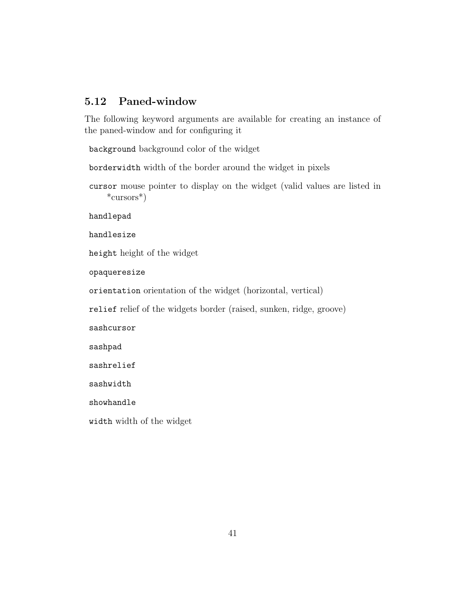## <span id="page-40-1"></span><span id="page-40-0"></span>5.12 Paned-window

The following keyword arguments are available for creating an instance of the paned-window and for configuring it

background background color of the widget

borderwidth width of the border around the widget in pixels

cursor mouse pointer to display on the widget (valid values are listed in \*cursors\*)

handlepad

handlesize

height height of the widget

opaqueresize

orientation orientation of the widget (horizontal, vertical)

relief relief of the widgets border (raised, sunken, ridge, groove)

sashcursor

sashpad

sashrelief

sashwidth

showhandle

width width of the widget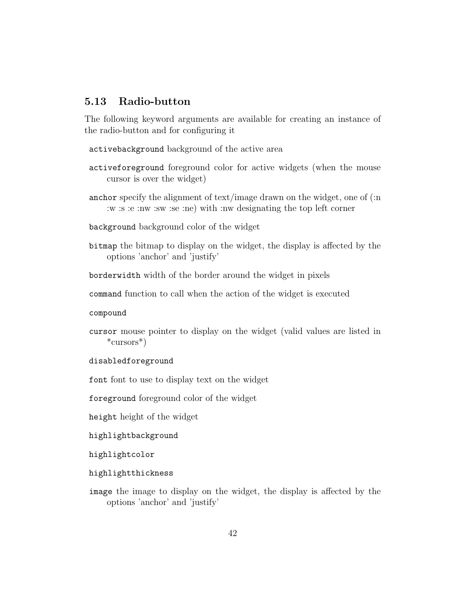## <span id="page-41-1"></span><span id="page-41-0"></span>5.13 Radio-button

The following keyword arguments are available for creating an instance of the radio-button and for configuring it

activebackground background of the active area

- activeforeground foreground color for active widgets (when the mouse cursor is over the widget)
- anchor specify the alignment of text/image drawn on the widget, one of (:n :w :s :e :nw :sw :se :ne) with :nw designating the top left corner
- background background color of the widget
- bitmap the bitmap to display on the widget, the display is affected by the options 'anchor' and 'justify'

borderwidth width of the border around the widget in pixels

command function to call when the action of the widget is executed

compound

- cursor mouse pointer to display on the widget (valid values are listed in \*cursors\*)
- disabledforeground

font font to use to display text on the widget

foreground foreground color of the widget

height height of the widget

highlightbackground

highlightcolor

highlightthickness

image the image to display on the widget, the display is affected by the options 'anchor' and 'justify'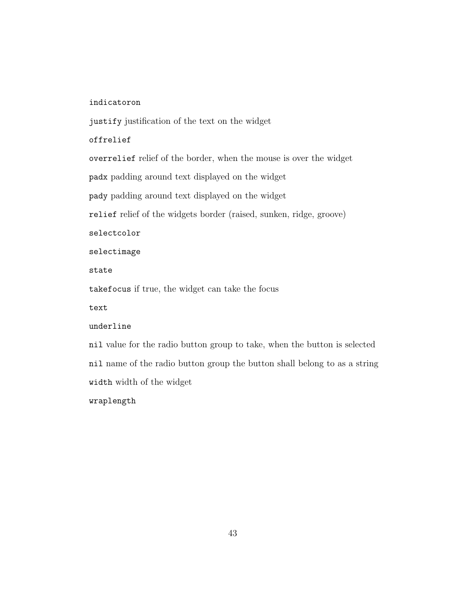### <span id="page-42-0"></span>indicatoron

justify justification of the text on the widget

### offrelief

overrelief relief of the border, when the mouse is over the widget padx padding around text displayed on the widget pady padding around text displayed on the widget relief relief of the widgets border (raised, sunken, ridge, groove) selectcolor selectimage state takefocus if true, the widget can take the focus text underline

nil value for the radio button group to take, when the button is selected nil name of the radio button group the button shall belong to as a string width width of the widget

wraplength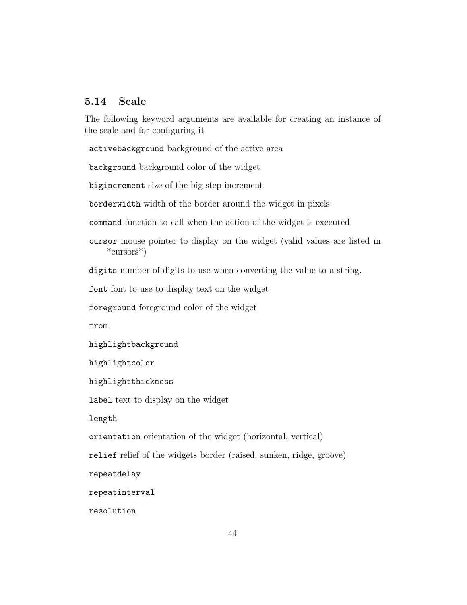## <span id="page-43-1"></span><span id="page-43-0"></span>5.14 Scale

The following keyword arguments are available for creating an instance of the scale and for configuring it

activebackground background of the active area

background background color of the widget

bigincrement size of the big step increment

borderwidth width of the border around the widget in pixels

command function to call when the action of the widget is executed

cursor mouse pointer to display on the widget (valid values are listed in \*cursors\*)

digits number of digits to use when converting the value to a string.

font font to use to display text on the widget

foreground foreground color of the widget

from

highlightbackground

highlightcolor

highlightthickness

label text to display on the widget

length

orientation orientation of the widget (horizontal, vertical)

relief relief of the widgets border (raised, sunken, ridge, groove)

repeatdelay

repeatinterval

resolution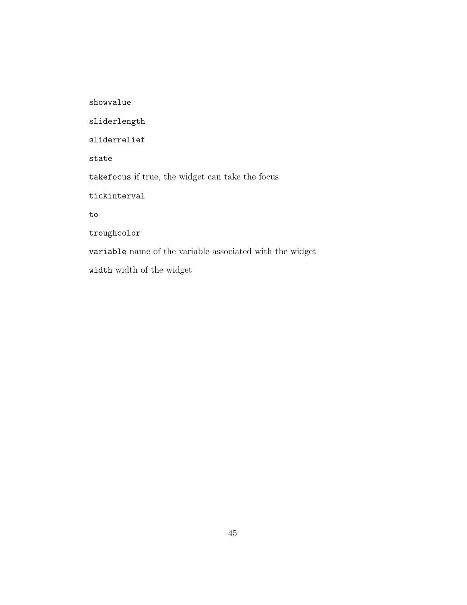<span id="page-44-0"></span>showvalue sliderlength sliderrelief state takefocus if true, the widget can take the focus tickinterval to troughcolor variable name of the variable associated with the widget width width of the widget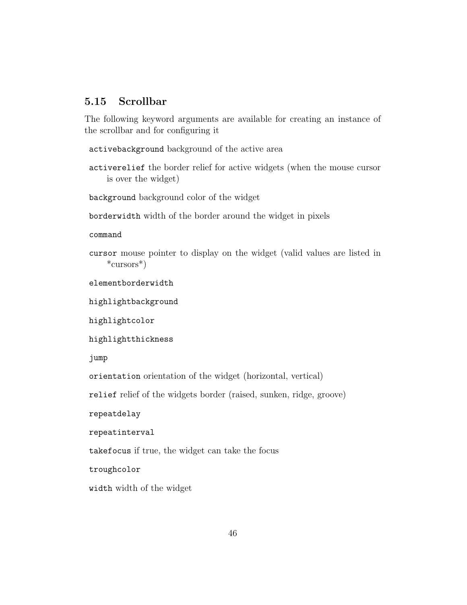## <span id="page-45-1"></span><span id="page-45-0"></span>5.15 Scrollbar

The following keyword arguments are available for creating an instance of the scrollbar and for configuring it

activebackground background of the active area

activerelief the border relief for active widgets (when the mouse cursor is over the widget)

background background color of the widget

borderwidth width of the border around the widget in pixels

command

cursor mouse pointer to display on the widget (valid values are listed in \*cursors\*)

elementborderwidth

highlightbackground

highlightcolor

highlightthickness

jump

orientation orientation of the widget (horizontal, vertical)

relief relief of the widgets border (raised, sunken, ridge, groove)

repeatdelay

repeatinterval

takefocus if true, the widget can take the focus

troughcolor

width width of the widget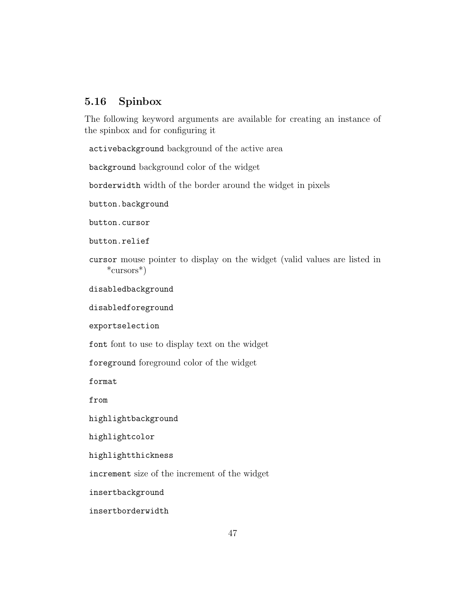## <span id="page-46-1"></span><span id="page-46-0"></span>5.16 Spinbox

The following keyword arguments are available for creating an instance of the spinbox and for configuring it

activebackground background of the active area

background background color of the widget

borderwidth width of the border around the widget in pixels

button.background

button.cursor

button.relief

cursor mouse pointer to display on the widget (valid values are listed in \*cursors\*)

disabledbackground

disabledforeground

exportselection

font font to use to display text on the widget

foreground foreground color of the widget

format

from

highlightbackground

highlightcolor

highlightthickness

increment size of the increment of the widget

insertbackground

insertborderwidth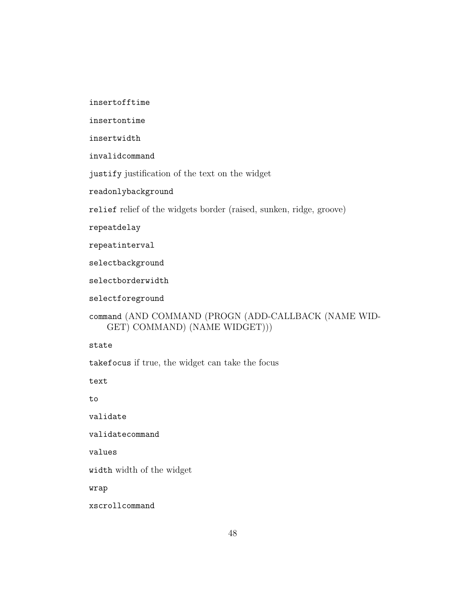<span id="page-47-0"></span>insertofftime

insertontime

insertwidth

invalidcommand

justify justification of the text on the widget

readonlybackground

relief relief of the widgets border (raised, sunken, ridge, groove)

repeatdelay

repeatinterval

selectbackground

selectborderwidth

selectforeground

```
command (AND COMMAND (PROGN (ADD-CALLBACK (NAME WID-
   GET) COMMAND) (NAME WIDGET)))
```
state

takefocus if true, the widget can take the focus

text

to

validate

validatecommand

values

width width of the widget

wrap

xscrollcommand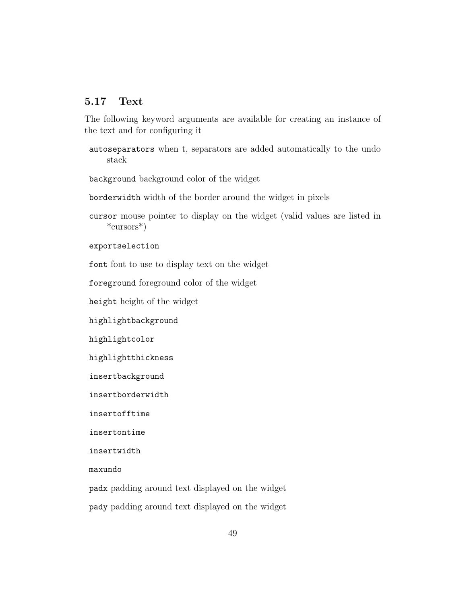## <span id="page-48-1"></span><span id="page-48-0"></span>5.17 Text

The following keyword arguments are available for creating an instance of the text and for configuring it

autoseparators when t, separators are added automatically to the undo stack

background background color of the widget

borderwidth width of the border around the widget in pixels

cursor mouse pointer to display on the widget (valid values are listed in \*cursors\*)

exportselection

font font to use to display text on the widget

foreground foreground color of the widget

height height of the widget

highlightbackground

highlightcolor

highlightthickness

insertbackground

insertborderwidth

insertofftime

insertontime

insertwidth

maxundo

padx padding around text displayed on the widget

pady padding around text displayed on the widget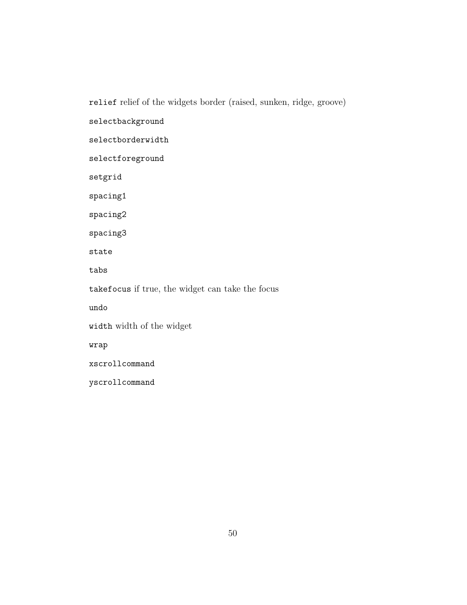<span id="page-49-0"></span>relief relief of the widgets border (raised, sunken, ridge, groove) selectbackground selectborderwidth selectforeground setgrid spacing1 spacing2 spacing3 state tabs takefocus if true, the widget can take the focus undo width width of the widget wrap xscrollcommand yscrollcommand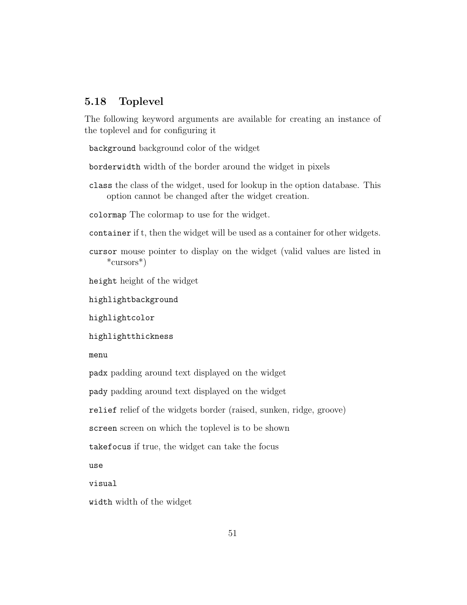## <span id="page-50-1"></span><span id="page-50-0"></span>5.18 Toplevel

The following keyword arguments are available for creating an instance of the toplevel and for configuring it

background background color of the widget

borderwidth width of the border around the widget in pixels

class the class of the widget, used for lookup in the option database. This option cannot be changed after the widget creation.

colormap The colormap to use for the widget.

container if t, then the widget will be used as a container for other widgets.

cursor mouse pointer to display on the widget (valid values are listed in \*cursors\*)

height height of the widget

highlightbackground

highlightcolor

highlightthickness

menu

padx padding around text displayed on the widget

pady padding around text displayed on the widget

relief relief of the widgets border (raised, sunken, ridge, groove)

screen screen on which the toplevel is to be shown

takefocus if true, the widget can take the focus

use

visual

width width of the widget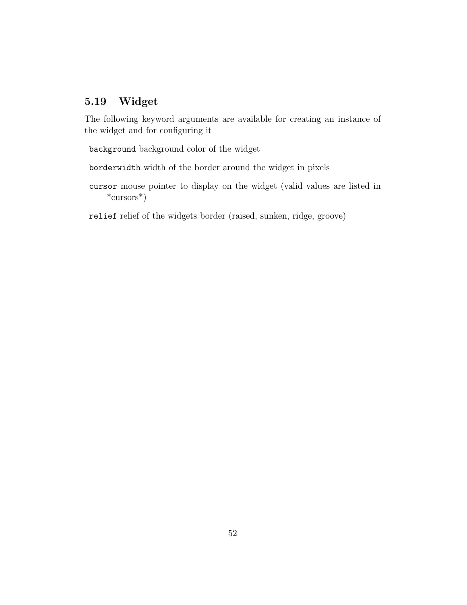# <span id="page-51-0"></span>5.19 Widget

The following keyword arguments are available for creating an instance of the widget and for configuring it

background background color of the widget

borderwidth width of the border around the widget in pixels

cursor mouse pointer to display on the widget (valid values are listed in \*cursors\*)

relief relief of the widgets border (raised, sunken, ridge, groove)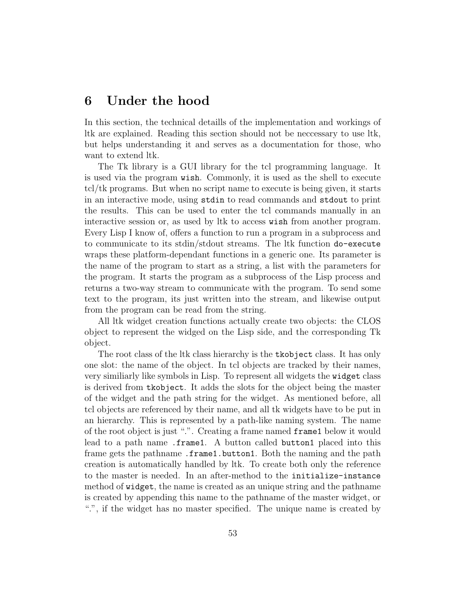# <span id="page-52-0"></span>6 Under the hood

In this section, the technical detaills of the implementation and workings of ltk are explained. Reading this section should not be neccessary to use ltk, but helps understanding it and serves as a documentation for those, who want to extend ltk.

The Tk library is a GUI library for the tcl programming language. It is used via the program wish. Commonly, it is used as the shell to execute tcl/tk programs. But when no script name to execute is being given, it starts in an interactive mode, using stdin to read commands and stdout to print the results. This can be used to enter the tcl commands manually in an interactive session or, as used by ltk to access wish from another program. Every Lisp I know of, offers a function to run a program in a subprocess and to communicate to its stdin/stdout streams. The ltk function do-execute wraps these platform-dependant functions in a generic one. Its parameter is the name of the program to start as a string, a list with the parameters for the program. It starts the program as a subprocess of the Lisp process and returns a two-way stream to communicate with the program. To send some text to the program, its just written into the stream, and likewise output from the program can be read from the string.

All ltk widget creation functions actually create two objects: the CLOS object to represent the widged on the Lisp side, and the corresponding Tk object.

The root class of the ltk class hierarchy is the tkobject class. It has only one slot: the name of the object. In tcl objects are tracked by their names, very similiarly like symbols in Lisp. To represent all widgets the widget class is derived from tkobject. It adds the slots for the object being the master of the widget and the path string for the widget. As mentioned before, all tcl objects are referenced by their name, and all tk widgets have to be put in an hierarchy. This is represented by a path-like naming system. The name of the root object is just ".". Creating a frame named frame1 below it would lead to a path name .frame1. A button called button1 placed into this frame gets the pathname .frame1.button1. Both the naming and the path creation is automatically handled by ltk. To create both only the reference to the master is needed. In an after-method to the initialize-instance method of widget, the name is created as an unique string and the pathname is created by appending this name to the pathname of the master widget, or ".", if the widget has no master specified. The unique name is created by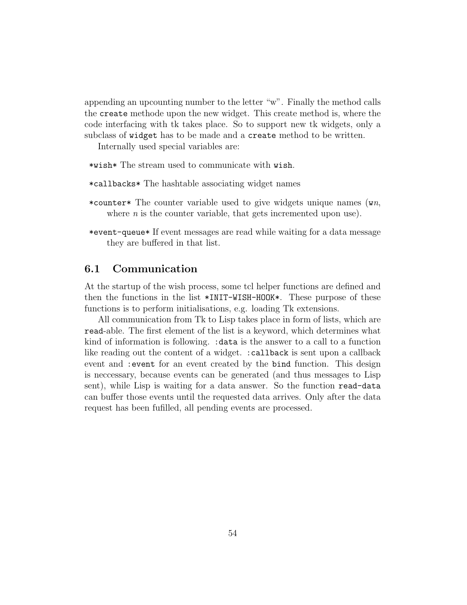<span id="page-53-1"></span>appending an upcounting number to the letter "w". Finally the method calls the create methode upon the new widget. This create method is, where the code interfacing with tk takes place. So to support new tk widgets, only a subclass of widget has to be made and a create method to be written.

Internally used special variables are:

\*wish\* The stream used to communicate with wish.

\*callbacks\* The hashtable associating widget names

- \*counter\* The counter variable used to give widgets unique names  $(\omega n)$ . where  $n$  is the counter variable, that gets incremented upon use).
- \*event-queue\* If event messages are read while waiting for a data message they are buffered in that list.

### <span id="page-53-0"></span>6.1 Communication

At the startup of the wish process, some tcl helper functions are defined and then the functions in the list \*INIT-WISH-HOOK\*. These purpose of these functions is to perform initialisations, e.g. loading Tk extensions.

All communication from Tk to Lisp takes place in form of lists, which are read-able. The first element of the list is a keyword, which determines what kind of information is following. :data is the answer to a call to a function like reading out the content of a widget. :callback is sent upon a callback event and :event for an event created by the bind function. This design is neccessary, because events can be generated (and thus messages to Lisp sent), while Lisp is waiting for a data answer. So the function read-data can buffer those events until the requested data arrives. Only after the data request has been fufilled, all pending events are processed.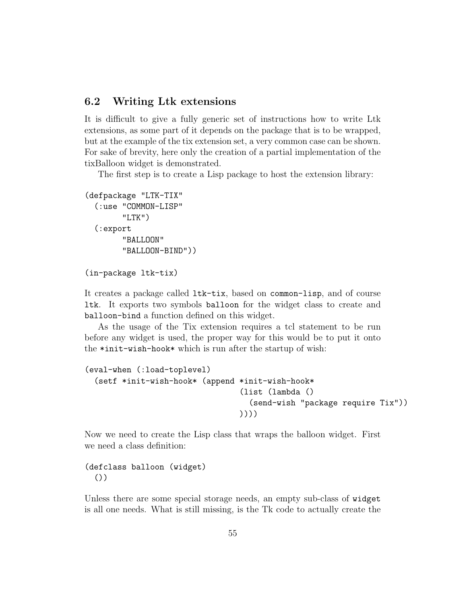## <span id="page-54-0"></span>6.2 Writing Ltk extensions

It is difficult to give a fully generic set of instructions how to write Ltk extensions, as some part of it depends on the package that is to be wrapped, but at the example of the tix extension set, a very common case can be shown. For sake of brevity, here only the creation of a partial implementation of the tixBalloon widget is demonstrated.

The first step is to create a Lisp package to host the extension library:

```
(defpackage "LTK-TIX"
  (:use "COMMON-LISP"
        "LTK")
  (:export
        "BALLOON"
        "BALLOON-BIND"))
```

```
(in-package ltk-tix)
```
It creates a package called ltk-tix, based on common-lisp, and of course ltk. It exports two symbols balloon for the widget class to create and balloon-bind a function defined on this widget.

As the usage of the Tix extension requires a tcl statement to be run before any widget is used, the proper way for this would be to put it onto the \*init-wish-hook\* which is run after the startup of wish:

```
(eval-when (:load-toplevel)
  (setf *init-wish-hook* (append *init-wish-hook*
                                  (list (lambda ()
                                    (send-wish "package require Tix"))
                                  ))))
```
Now we need to create the Lisp class that wraps the balloon widget. First we need a class definition:

(defclass balloon (widget) ())

Unless there are some special storage needs, an empty sub-class of widget is all one needs. What is still missing, is the Tk code to actually create the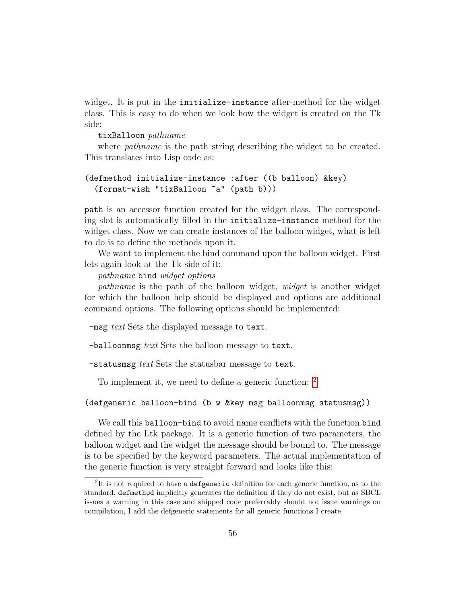widget. It is put in the initialize-instance after-method for the widget class. This is easy to do when we look how the widget is created on the Tk side:

### tixBalloon pathname

where *pathname* is the path string describing the widget to be created. This translates into Lisp code as:

```
(defmethod initialize-instance :after ((b balloon) &key)
  (format-wish "tixBalloon ~a" (path b)))
```
path is an accessor function created for the widget class. The corresponding slot is automatically filled in the initialize-instance method for the widget class. Now we can create instances of the balloon widget, what is left to do is to define the methods upon it.

We want to implement the bind command upon the balloon widget. First lets again look at the Tk side of it:

pathname bind widget options

pathname is the path of the balloon widget, widget is another widget for which the balloon help should be displayed and options are additional command options. The following options should be implemented:

-msg text Sets the displayed message to text.

-balloonmsg text Sets the balloon message to text.

-statusmsg text Sets the statusbar message to text.

To implement it, we need to define a generic function: <sup>[2](#page-55-0)</sup>

(defgeneric balloon-bind (b w &key msg balloonmsg statusmsg))

We call this balloon-bind to avoid name conflicts with the function bind defined by the Ltk package. It is a generic function of two parameters, the balloon widget and the widget the message should be bound to. The message is to be specified by the keyword parameters. The actual implementation of the generic function is very straight forward and looks like this:

<span id="page-55-0"></span> ${}^{2}$ It is not required to have a defgeneric definition for each generic function, as to the standard, defmethod implicitly generates the definition if they do not exist, but as SBCL issues a warning in this case and shipped code preferrably should not issue warnings on compilation, I add the defgeneric statements for all generic functions I create.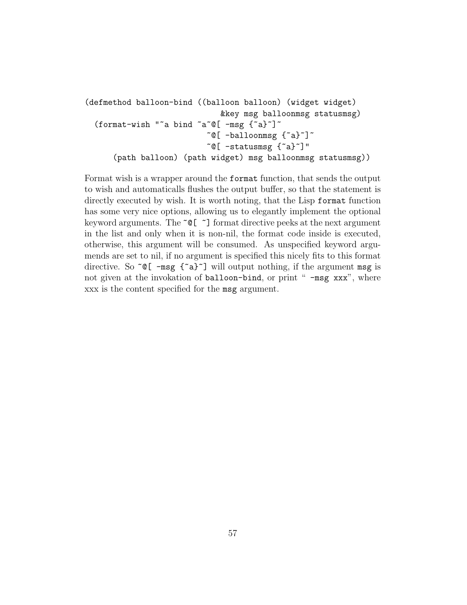```
(defmethod balloon-bind ((balloon balloon) (widget widget)
                                        &key msg balloonmsg statusmsg)
  (format-wish "~a bind ~a~@[ -msg {~a}~]~
                                    \tilde{\text{e}}[ -balloonmsg {\tilde{\text{e}}}\tilde{\text{e}}]\tilde{\text{e}}\tilde{\text{e}}[ -statusmsg \{\tilde{\text{e}}\}]"
        (path balloon) (path widget) msg balloonmsg statusmsg))
```
Format wish is a wrapper around the format function, that sends the output to wish and automaticalls flushes the output buffer, so that the statement is directly executed by wish. It is worth noting, that the Lisp format function has some very nice options, allowing us to elegantly implement the optional keyword arguments. The  $\tilde{\phantom{a}}$  [  $\tilde{\phantom{a}}$ ] format directive peeks at the next argument in the list and only when it is non-nil, the format code inside is executed, otherwise, this argument will be consumed. As unspecified keyword argumends are set to nil, if no argument is specified this nicely fits to this format directive. So  $\infty$  [  $-\text{msg } \{ \infty \}$ ] will output nothing, if the argument msg is not given at the invokation of balloon-bind, or print " -msg xxx", where xxx is the content specified for the msg argument.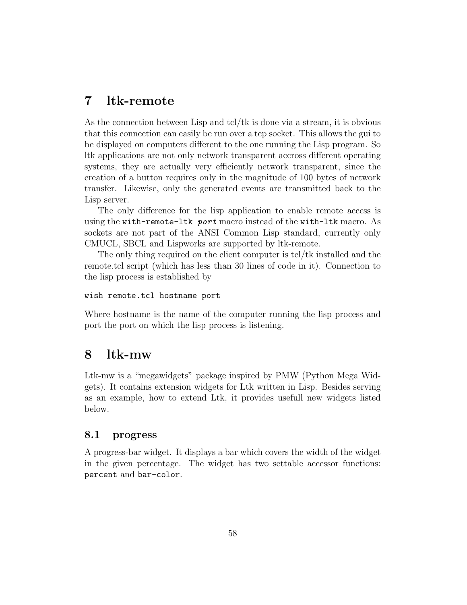# <span id="page-57-0"></span>7 ltk-remote

As the connection between Lisp and tcl/tk is done via a stream, it is obvious that this connection can easily be run over a tcp socket. This allows the gui to be displayed on computers different to the one running the Lisp program. So ltk applications are not only network transparent accross different operating systems, they are actually very efficiently network transparent, since the creation of a button requires only in the magnitude of 100 bytes of network transfer. Likewise, only the generated events are transmitted back to the Lisp server.

The only difference for the lisp application to enable remote access is using the with-remote-ltk port macro instead of the with-ltk macro. As sockets are not part of the ANSI Common Lisp standard, currently only CMUCL, SBCL and Lispworks are supported by ltk-remote.

The only thing required on the client computer is tcl/tk installed and the remote.tcl script (which has less than 30 lines of code in it). Connection to the lisp process is established by

### wish remote.tcl hostname port

Where hostname is the name of the computer running the lisp process and port the port on which the lisp process is listening.

## <span id="page-57-1"></span>8 ltk-mw

Ltk-mw is a "megawidgets" package inspired by PMW (Python Mega Widgets). It contains extension widgets for Ltk written in Lisp. Besides serving as an example, how to extend Ltk, it provides usefull new widgets listed below.

### <span id="page-57-2"></span>8.1 progress

A progress-bar widget. It displays a bar which covers the width of the widget in the given percentage. The widget has two settable accessor functions: percent and bar-color.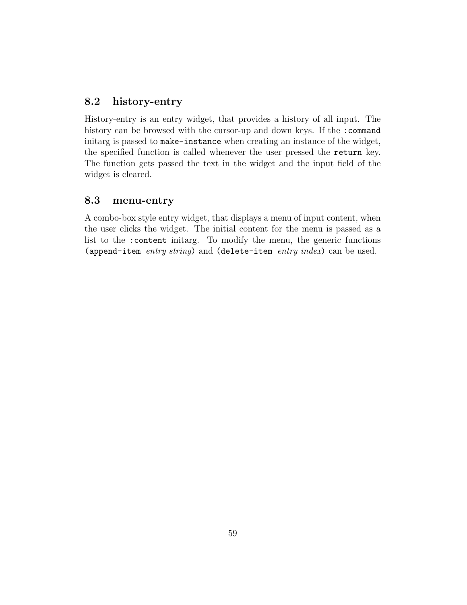## <span id="page-58-0"></span>8.2 history-entry

History-entry is an entry widget, that provides a history of all input. The history can be browsed with the cursor-up and down keys. If the : command initarg is passed to make-instance when creating an instance of the widget, the specified function is called whenever the user pressed the return key. The function gets passed the text in the widget and the input field of the widget is cleared.

## <span id="page-58-1"></span>8.3 menu-entry

A combo-box style entry widget, that displays a menu of input content, when the user clicks the widget. The initial content for the menu is passed as a list to the :content initarg. To modify the menu, the generic functions (append-item entry string) and (delete-item entry index) can be used.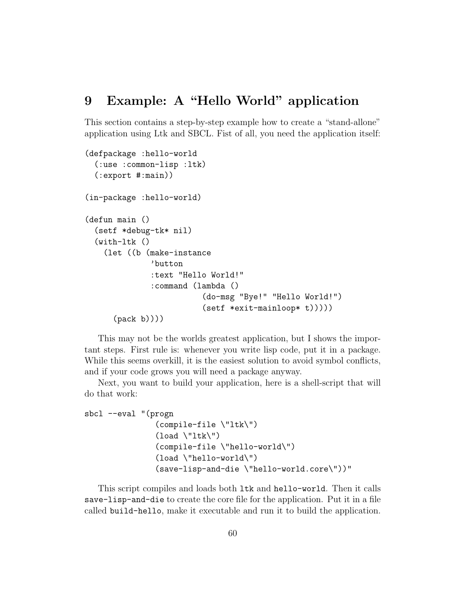## <span id="page-59-0"></span>9 Example: A "Hello World" application

This section contains a step-by-step example how to create a "stand-allone" application using Ltk and SBCL. Fist of all, you need the application itself:

```
(defpackage :hello-world
  (:use :common-lisp :ltk)
  (:export #:main))
(in-package :hello-world)
(defun main ()
  (setf *debug-tk* nil)
  (with-ltk ()
    (let ((b (make-instance
              'button
              :text "Hello World!"
              :command (lambda ()
                          (do-msg "Bye!" "Hello World!")
                          (setf *exit-mainloop* t)))))
      (pack b))))
```
This may not be the worlds greatest application, but I shows the important steps. First rule is: whenever you write lisp code, put it in a package. While this seems overkill, it is the easiest solution to avoid symbol conflicts, and if your code grows you will need a package anyway.

Next, you want to build your application, here is a shell-script that will do that work:

```
sbcl --eval "(progn
                  (compile-file \"ltk\")
                  (\text{load } \lceil \mathsf{llt} \rceil)(compile-file \"hello-world\")
                  (load \"hello-world\")
                  (save-lisp-and-die \"hello-world.core\"))"
```
This script compiles and loads both ltk and hello-world. Then it calls save-lisp-and-die to create the core file for the application. Put it in a file called build-hello, make it executable and run it to build the application.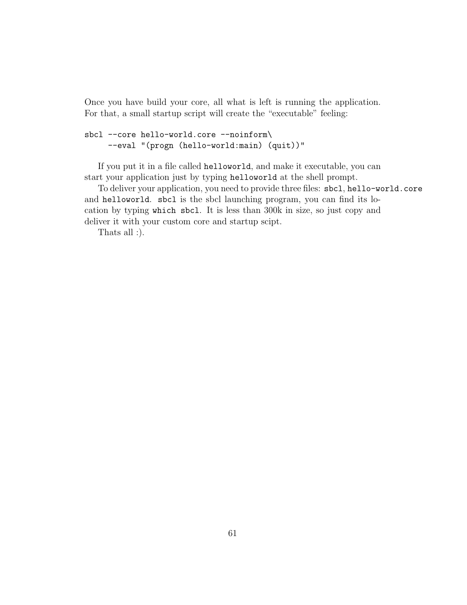Once you have build your core, all what is left is running the application. For that, a small startup script will create the "executable" feeling:

```
sbcl --core hello-world.core --noinform\
     --eval "(progn (hello-world:main) (quit))"
```
If you put it in a file called helloworld, and make it executable, you can start your application just by typing helloworld at the shell prompt.

To deliver your application, you need to provide three files: sbcl, hello-world.core and helloworld. sbcl is the sbcl launching program, you can find its location by typing which sbcl. It is less than 300k in size, so just copy and deliver it with your custom core and startup scipt.

Thats all :).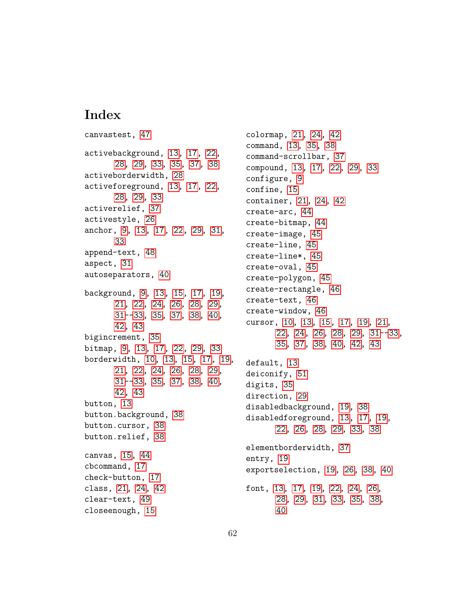# Index

```
canvastest, 47
activebackground, 13, 17, 22,
      28, 29, 33, 35, 37, 38
activeborderwidth, 28
activeforeground, 13, 17, 22,
      28, 29, 33
activerelief, 37
activestyle, 26
anchor, 9, 13, 17, 22, 29, 31,
      33
append-text, 48
aspect, 31
autoseparators, 40
background, 9, 13, 15, 17, 19,
      21, 22, 24, 26, 28, 29,
      31--33, 35, 37, 38, 40,
      42, 43
bigincrement, 35
bitmap, 9, 13, 17, 22, 29, 33
borderwidth, 10, 13, 15, 17, 19,
      21, 22, 24, 26, 28, 29,
      31--33, 35, 37, 38, 40,
      42, 43
button, 13
button.background, 38
button.cursor, 38
button.relief, 38
canvas, 15, 44
cbcommand, 17
check-button, 17
class, 21, 24, 42
clear-text, 49
closeenough, 15
```
colormap, [21,](#page-20-1) [24,](#page-23-1) [42](#page-41-1) command, [13,](#page-12-1) [35,](#page-34-1) [38](#page-37-1) command-scrollbar, [37](#page-36-1) compound, [13,](#page-12-1) [17,](#page-16-2) [22,](#page-21-1) [29,](#page-28-0) [33](#page-32-1) configure, [9](#page-8-1) confine, [15](#page-14-3) container, [21,](#page-20-1) [24,](#page-23-1) [42](#page-41-1) create-arc, [44](#page-43-1) create-bitmap, [44](#page-43-1) create-image, [45](#page-44-0) create-line, [45](#page-44-0) create-line\*, [45](#page-44-0) create-oval, [45](#page-44-0) create-polygon, [45](#page-44-0) create-rectangle, [46](#page-45-1) create-text, [46](#page-45-1) create-window, [46](#page-45-1) cursor, [10,](#page-9-0) [13,](#page-12-1) [15,](#page-14-3) [17,](#page-16-2) [19,](#page-18-4) [21,](#page-20-1) [22,](#page-21-1) [24,](#page-23-1) [26,](#page-25-1) [28,](#page-27-1) [29,](#page-28-0) [31-](#page-30-1)[-33,](#page-32-1) [35,](#page-34-1) [37,](#page-36-1) [38,](#page-37-1) [40,](#page-39-1) [42,](#page-41-1) [43](#page-42-0) default, [13](#page-12-1) deiconify, [51](#page-50-1) digits, [35](#page-34-1) direction, [29](#page-28-0) disabledbackground, [19,](#page-18-4) [38](#page-37-1) disabledforeground, [13,](#page-12-1) [17,](#page-16-2) [19,](#page-18-4) [22,](#page-21-1) [26,](#page-25-1) [28,](#page-27-1) [29,](#page-28-0) [33,](#page-32-1) [38](#page-37-1) elementborderwidth, [37](#page-36-1) entry, [19](#page-18-4) exportselection, [19,](#page-18-4) [26,](#page-25-1) [38,](#page-37-1) [40](#page-39-1) font, [13,](#page-12-1) [17,](#page-16-2) [19,](#page-18-4) [22,](#page-21-1) [24,](#page-23-1) [26,](#page-25-1) [28,](#page-27-1) [29,](#page-28-0) [31,](#page-30-1) [33,](#page-32-1) [35,](#page-34-1) [38,](#page-37-1) [40](#page-39-1)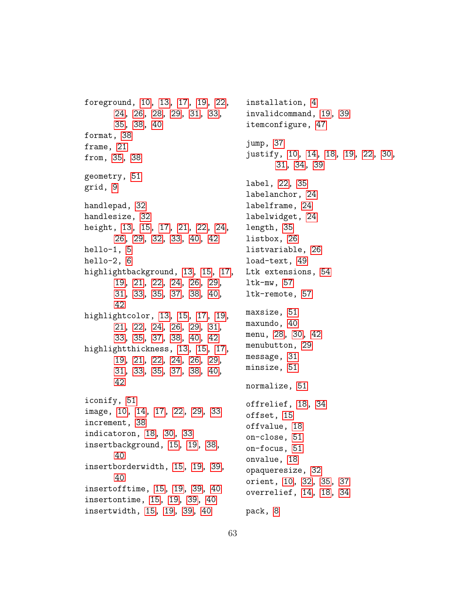foreground, [10,](#page-9-0) [13,](#page-12-1) [17,](#page-16-2) [19,](#page-18-4) [22,](#page-21-1) [24,](#page-23-1) [26,](#page-25-1) [28,](#page-27-1) [29,](#page-28-0) [31,](#page-30-1) [33,](#page-32-1) [35,](#page-34-1) [38,](#page-37-1) [40](#page-39-1) format, [38](#page-37-1) frame, [21](#page-20-1) from, [35,](#page-34-1) [38](#page-37-1) geometry, [51](#page-50-1) grid, [9](#page-8-1) handlepad, [32](#page-31-0) handlesize, [32](#page-31-0) height, [13,](#page-12-1) [15,](#page-14-3) [17,](#page-16-2) [21,](#page-20-1) [22,](#page-21-1) [24,](#page-23-1) [26,](#page-25-1) [29,](#page-28-0) [32,](#page-31-0) [33,](#page-32-1) [40,](#page-39-1) [42](#page-41-1) hello-1, [5](#page-4-2) hello-2, [6](#page-5-1) highlightbackground, [13,](#page-12-1) [15,](#page-14-3) [17,](#page-16-2) [19,](#page-18-4) [21,](#page-20-1) [22,](#page-21-1) [24,](#page-23-1) [26,](#page-25-1) [29,](#page-28-0) [31,](#page-30-1) [33,](#page-32-1) [35,](#page-34-1) [37,](#page-36-1) [38,](#page-37-1) [40,](#page-39-1) [42](#page-41-1) highlightcolor, [13,](#page-12-1) [15,](#page-14-3) [17,](#page-16-2) [19,](#page-18-4) [21,](#page-20-1) [22,](#page-21-1) [24,](#page-23-1) [26,](#page-25-1) [29,](#page-28-0) [31,](#page-30-1) [33,](#page-32-1) [35,](#page-34-1) [37,](#page-36-1) [38,](#page-37-1) [40,](#page-39-1) [42](#page-41-1) highlightthickness, [13,](#page-12-1) [15,](#page-14-3) [17,](#page-16-2) [19,](#page-18-4) [21,](#page-20-1) [22,](#page-21-1) [24,](#page-23-1) [26,](#page-25-1) [29,](#page-28-0) [31,](#page-30-1) [33,](#page-32-1) [35,](#page-34-1) [37,](#page-36-1) [38,](#page-37-1) [40,](#page-39-1) [42](#page-41-1) iconify, [51](#page-50-1) image, [10,](#page-9-0) [14,](#page-13-1) [17,](#page-16-2) [22,](#page-21-1) [29,](#page-28-0) [33](#page-32-1) increment, [38](#page-37-1) indicatoron, [18,](#page-17-1) [30,](#page-29-1) [33](#page-32-1) insertbackground, [15,](#page-14-3) [19,](#page-18-4) [38,](#page-37-1) [40](#page-39-1) insertborderwidth, [15,](#page-14-3) [19,](#page-18-4) [39,](#page-38-0) [40](#page-39-1) insertofftime, [15,](#page-14-3) [19,](#page-18-4) [39,](#page-38-0) [40](#page-39-1) insertontime, [15,](#page-14-3) [19,](#page-18-4) [39,](#page-38-0) [40](#page-39-1) insertwidth, [15,](#page-14-3) [19,](#page-18-4) [39,](#page-38-0) [40](#page-39-1)

installation, [4](#page-3-1) invalidcommand, [19,](#page-18-4) [39](#page-38-0) itemconfigure, [47](#page-46-1) jump, [37](#page-36-1) justify, [10,](#page-9-0) [14,](#page-13-1) [18,](#page-17-1) [19,](#page-18-4) [22,](#page-21-1) [30,](#page-29-1) [31,](#page-30-1) [34,](#page-33-0) [39](#page-38-0) label, [22,](#page-21-1) [35](#page-34-1) labelanchor, [24](#page-23-1) labelframe, [24](#page-23-1) labelwidget, [24](#page-23-1) length, [35](#page-34-1) listbox, [26](#page-25-1) listvariable, [26](#page-25-1) load-text, [49](#page-48-1) Ltk extensions, [54](#page-53-1) ltk-mw, [57](#page-56-0) ltk-remote, [57](#page-56-0) maxsize, [51](#page-50-1) maxundo, [40](#page-39-1) menu, [28,](#page-27-1) [30,](#page-29-1) [42](#page-41-1) menubutton, [29](#page-28-0) message, [31](#page-30-1) minsize, [51](#page-50-1) normalize, [51](#page-50-1) offrelief, [18,](#page-17-1) [34](#page-33-0) offset, [15](#page-14-3) offvalue, [18](#page-17-1) on-close, [51](#page-50-1) on-focus, [51](#page-50-1) onvalue, [18](#page-17-1) opaqueresize, [32](#page-31-0) orient, [10,](#page-9-0) [32,](#page-31-0) [35,](#page-34-1) [37](#page-36-1) overrelief, [14,](#page-13-1) [18,](#page-17-1) [34](#page-33-0) pack, [8](#page-7-0)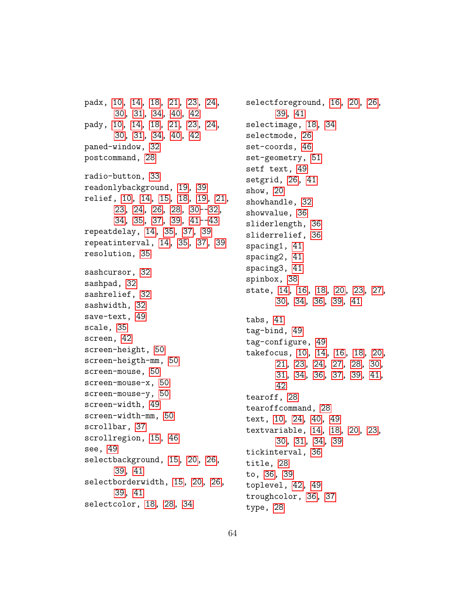padx, [10,](#page-9-0) [14,](#page-13-1) [18,](#page-17-1) [21,](#page-20-1) [23,](#page-22-0) [24,](#page-23-1) [30,](#page-29-1) [31,](#page-30-1) [34,](#page-33-0) [40,](#page-39-1) [42](#page-41-1) pady, [10,](#page-9-0) [14,](#page-13-1) [18,](#page-17-1) [21,](#page-20-1) [23,](#page-22-0) [24,](#page-23-1) [30,](#page-29-1) [31,](#page-30-1) [34,](#page-33-0) [40,](#page-39-1) [42](#page-41-1) paned-window, [32](#page-31-0) postcommand, [28](#page-27-1) radio-button, [33](#page-32-1) readonlybackground, [19,](#page-18-4) [39](#page-38-0) relief, [10,](#page-9-0) [14,](#page-13-1) [15,](#page-14-3) [18,](#page-17-1) [19,](#page-18-4) [21,](#page-20-1) [23,](#page-22-0) [24,](#page-23-1) [26,](#page-25-1) [28,](#page-27-1) [30-](#page-29-1)[-32,](#page-31-0) [34,](#page-33-0) [35,](#page-34-1) [37,](#page-36-1) [39,](#page-38-0) [41-](#page-40-1)[-43](#page-42-0) repeatdelay, [14,](#page-13-1) [35,](#page-34-1) [37,](#page-36-1) [39](#page-38-0) repeatinterval, [14,](#page-13-1) [35,](#page-34-1) [37,](#page-36-1) [39](#page-38-0) resolution, [35](#page-34-1) sashcursor, [32](#page-31-0) sashpad, [32](#page-31-0) sashrelief, [32](#page-31-0) sashwidth, [32](#page-31-0) save-text, [49](#page-48-1) scale, [35](#page-34-1) screen, [42](#page-41-1) screen-height, [50](#page-49-0) screen-heigth-mm, [50](#page-49-0) screen-mouse, [50](#page-49-0) screen-mouse-x, [50](#page-49-0) screen-mouse-y, [50](#page-49-0) screen-width, [49](#page-48-1) screen-width-mm, [50](#page-49-0) scrollbar, [37](#page-36-1) scrollregion, [15,](#page-14-3) [46](#page-45-1) see, [49](#page-48-1) selectbackground, [15,](#page-14-3) [20,](#page-19-0) [26,](#page-25-1) [39,](#page-38-0) [41](#page-40-1) selectborderwidth, [15,](#page-14-3) [20,](#page-19-0) [26,](#page-25-1) [39,](#page-38-0) [41](#page-40-1) selectcolor, [18,](#page-17-1) [28,](#page-27-1) [34](#page-33-0)

selectforeground, [16,](#page-15-3) [20,](#page-19-0) [26,](#page-25-1) [39,](#page-38-0) [41](#page-40-1) selectimage, [18,](#page-17-1) [34](#page-33-0) selectmode, [26](#page-25-1) set-coords, [46](#page-45-1) set-geometry, [51](#page-50-1) setf text, [49](#page-48-1) setgrid, [26,](#page-25-1) [41](#page-40-1) show, [20](#page-19-0) showhandle, [32](#page-31-0) showvalue, [36](#page-35-0) sliderlength, [36](#page-35-0) sliderrelief, [36](#page-35-0) spacing1, [41](#page-40-1) spacing2, [41](#page-40-1) spacing3, [41](#page-40-1) spinbox, [38](#page-37-1) state, [14,](#page-13-1) [16,](#page-15-3) [18,](#page-17-1) [20,](#page-19-0) [23,](#page-22-0) [27,](#page-26-0) [30,](#page-29-1) [34,](#page-33-0) [36,](#page-35-0) [39,](#page-38-0) [41](#page-40-1) tabs, [41](#page-40-1) tag-bind, [49](#page-48-1) tag-configure, [49](#page-48-1) takefocus, [10,](#page-9-0) [14,](#page-13-1) [16,](#page-15-3) [18,](#page-17-1) [20,](#page-19-0) [21,](#page-20-1) [23,](#page-22-0) [24,](#page-23-1) [27,](#page-26-0) [28,](#page-27-1) [30,](#page-29-1) [31,](#page-30-1) [34,](#page-33-0) [36,](#page-35-0) [37,](#page-36-1) [39,](#page-38-0) [41,](#page-40-1) [42](#page-41-1) tearoff, [28](#page-27-1) tearoffcommand, [28](#page-27-1) text, [10,](#page-9-0) [24,](#page-23-1) [40,](#page-39-1) [49](#page-48-1) textvariable, [14,](#page-13-1) [18,](#page-17-1) [20,](#page-19-0) [23,](#page-22-0) [30,](#page-29-1) [31,](#page-30-1) [34,](#page-33-0) [39](#page-38-0) tickinterval, [36](#page-35-0) title, [28](#page-27-1) to, [36,](#page-35-0) [39](#page-38-0) toplevel, [42,](#page-41-1) [49](#page-48-1) troughcolor, [36,](#page-35-0) [37](#page-36-1) type, [28](#page-27-1)